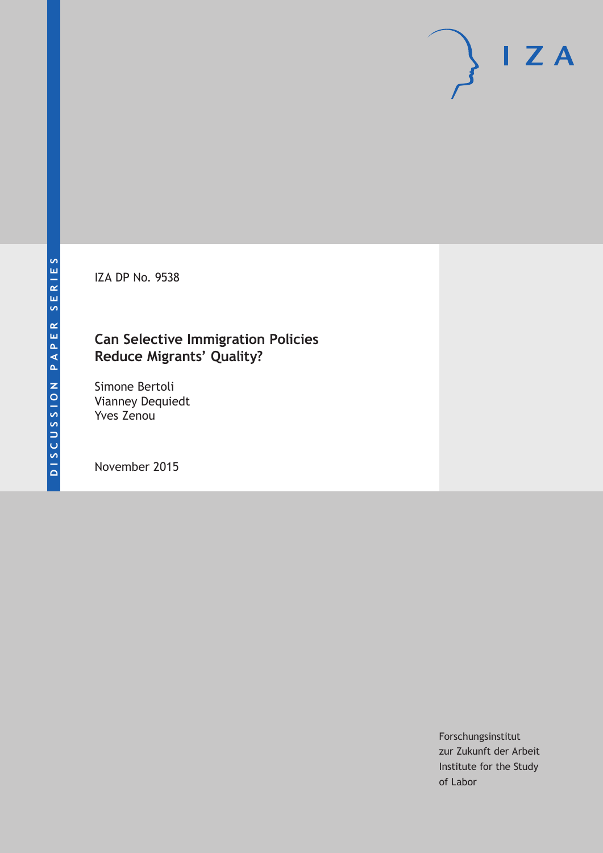IZA DP No. 9538

# **Can Selective Immigration Policies Reduce Migrants' Quality?**

Simone Bertoli Vianney Dequiedt Yves Zenou

November 2015

Forschungsinstitut zur Zukunft der Arbeit Institute for the Study of Labor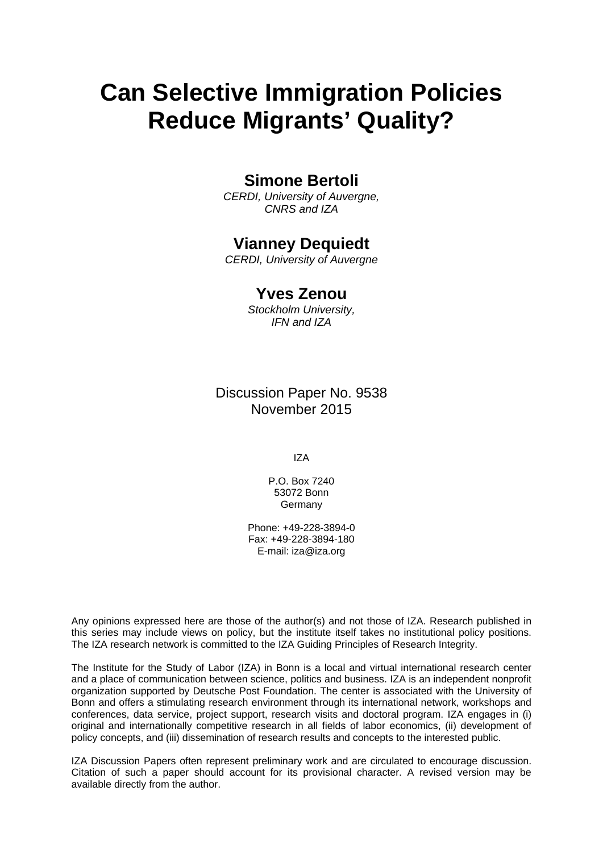# **Can Selective Immigration Policies Reduce Migrants' Quality?**

### **Simone Bertoli**

*CERDI, University of Auvergne, CNRS and IZA* 

### **Vianney Dequiedt**

*CERDI, University of Auvergne* 

### **Yves Zenou**

*Stockholm University, IFN and IZA*

Discussion Paper No. 9538 November 2015

IZA

P.O. Box 7240 53072 Bonn **Germany** 

Phone: +49-228-3894-0 Fax: +49-228-3894-180 E-mail: iza@iza.org

Any opinions expressed here are those of the author(s) and not those of IZA. Research published in this series may include views on policy, but the institute itself takes no institutional policy positions. The IZA research network is committed to the IZA Guiding Principles of Research Integrity.

The Institute for the Study of Labor (IZA) in Bonn is a local and virtual international research center and a place of communication between science, politics and business. IZA is an independent nonprofit organization supported by Deutsche Post Foundation. The center is associated with the University of Bonn and offers a stimulating research environment through its international network, workshops and conferences, data service, project support, research visits and doctoral program. IZA engages in (i) original and internationally competitive research in all fields of labor economics, (ii) development of policy concepts, and (iii) dissemination of research results and concepts to the interested public.

IZA Discussion Papers often represent preliminary work and are circulated to encourage discussion. Citation of such a paper should account for its provisional character. A revised version may be available directly from the author.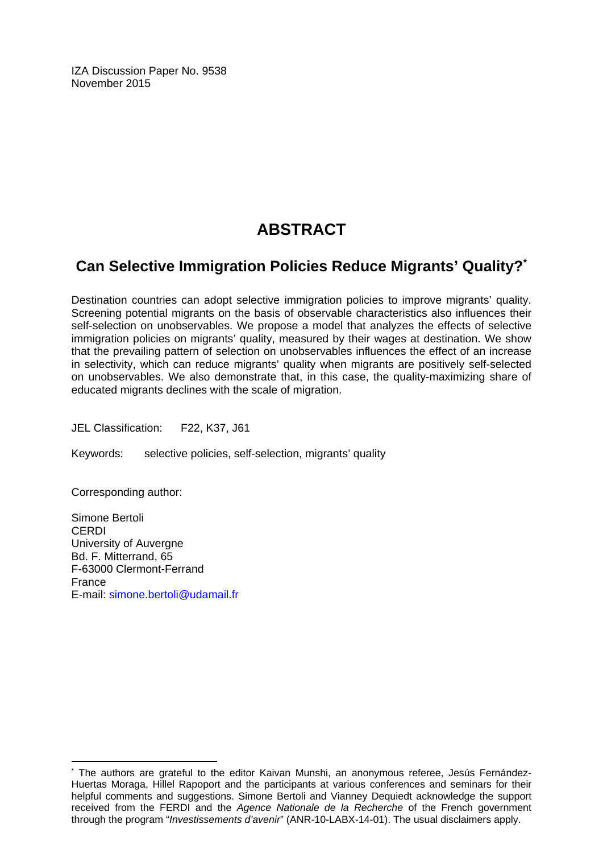IZA Discussion Paper No. 9538 November 2015

# **ABSTRACT**

## **Can Selective Immigration Policies Reduce Migrants' Quality?\***

Destination countries can adopt selective immigration policies to improve migrants' quality. Screening potential migrants on the basis of observable characteristics also influences their self-selection on unobservables. We propose a model that analyzes the effects of selective immigration policies on migrants' quality, measured by their wages at destination. We show that the prevailing pattern of selection on unobservables influences the effect of an increase in selectivity, which can reduce migrants' quality when migrants are positively self-selected on unobservables. We also demonstrate that, in this case, the quality-maximizing share of educated migrants declines with the scale of migration.

JEL Classification: F22, K37, J61

Keywords: selective policies, self-selection, migrants' quality

Corresponding author:

 $\overline{a}$ 

Simone Bertoli CERDI University of Auvergne Bd. F. Mitterrand, 65 F-63000 Clermont-Ferrand France E-mail: simone.bertoli@udamail.fr

<sup>\*</sup> The authors are grateful to the editor Kaivan Munshi, an anonymous referee, Jesús Fernández-Huertas Moraga, Hillel Rapoport and the participants at various conferences and seminars for their helpful comments and suggestions. Simone Bertoli and Vianney Dequiedt acknowledge the support received from the FERDI and the *Agence Nationale de la Recherche* of the French government through the program "*Investissements d'avenir*" (ANR-10-LABX-14-01). The usual disclaimers apply.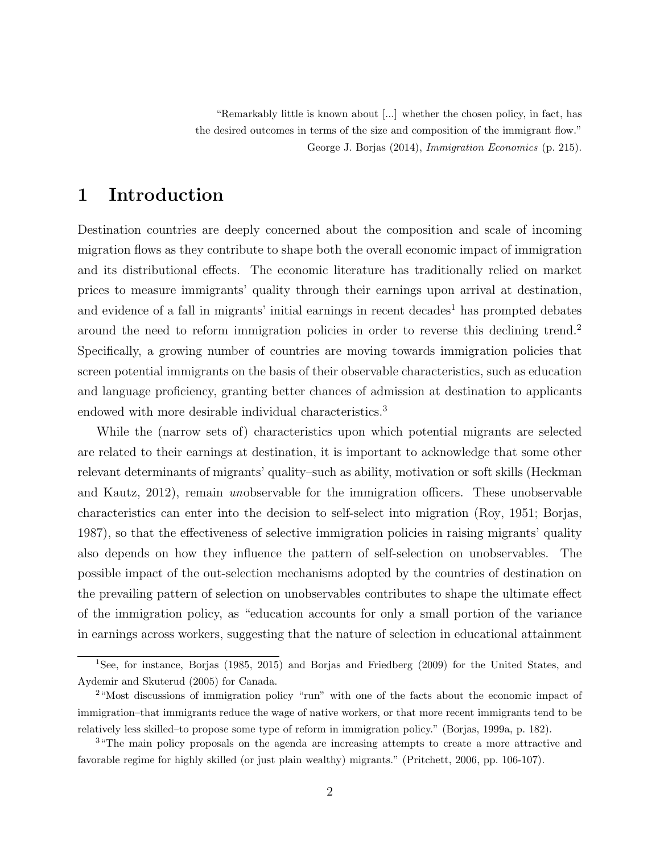"Remarkably little is known about [...] whether the chosen policy, in fact, has the desired outcomes in terms of the size and composition of the immigrant flow." George J. Borjas (2014), Immigration Economics (p. 215).

### 1 Introduction

Destination countries are deeply concerned about the composition and scale of incoming migration flows as they contribute to shape both the overall economic impact of immigration and its distributional effects. The economic literature has traditionally relied on market prices to measure immigrants' quality through their earnings upon arrival at destination, and evidence of a fall in migrants' initial earnings in recent decades<sup>1</sup> has prompted debates around the need to reform immigration policies in order to reverse this declining trend.<sup>2</sup> Specifically, a growing number of countries are moving towards immigration policies that screen potential immigrants on the basis of their observable characteristics, such as education and language proficiency, granting better chances of admission at destination to applicants endowed with more desirable individual characteristics.<sup>3</sup>

While the (narrow sets of) characteristics upon which potential migrants are selected are related to their earnings at destination, it is important to acknowledge that some other relevant determinants of migrants' quality–such as ability, motivation or soft skills (Heckman and Kautz, 2012), remain unobservable for the immigration officers. These unobservable characteristics can enter into the decision to self-select into migration (Roy, 1951; Borjas, 1987), so that the effectiveness of selective immigration policies in raising migrants' quality also depends on how they influence the pattern of self-selection on unobservables. The possible impact of the out-selection mechanisms adopted by the countries of destination on the prevailing pattern of selection on unobservables contributes to shape the ultimate effect of the immigration policy, as "education accounts for only a small portion of the variance in earnings across workers, suggesting that the nature of selection in educational attainment

<sup>1</sup>See, for instance, Borjas (1985, 2015) and Borjas and Friedberg (2009) for the United States, and Aydemir and Skuterud (2005) for Canada.

<sup>2</sup>"Most discussions of immigration policy "run" with one of the facts about the economic impact of immigration–that immigrants reduce the wage of native workers, or that more recent immigrants tend to be relatively less skilled–to propose some type of reform in immigration policy." (Borjas, 1999a, p. 182).

<sup>&</sup>lt;sup>3</sup> The main policy proposals on the agenda are increasing attempts to create a more attractive and favorable regime for highly skilled (or just plain wealthy) migrants." (Pritchett, 2006, pp. 106-107).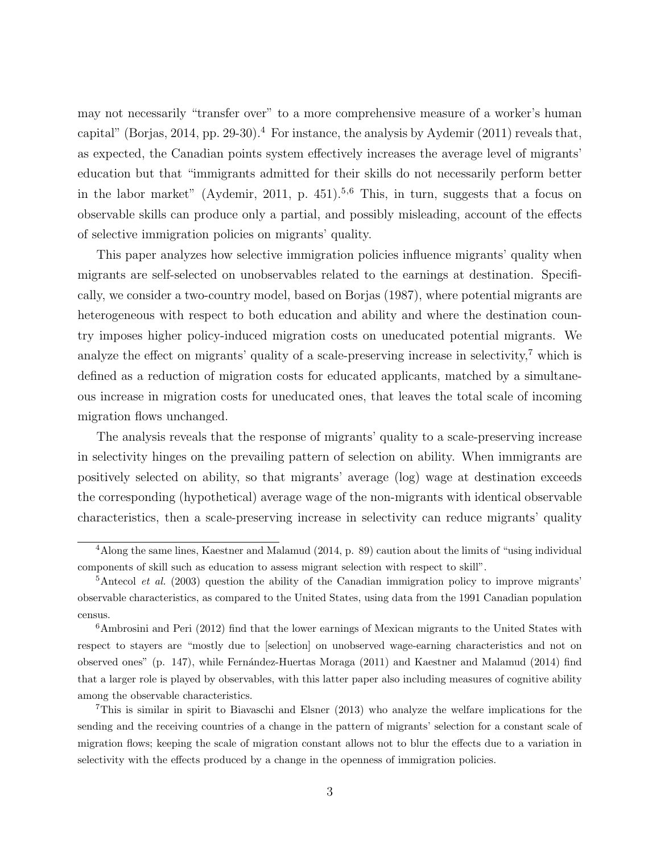may not necessarily "transfer over" to a more comprehensive measure of a worker's human capital" (Borjas, 2014, pp. 29-30).<sup>4</sup> For instance, the analysis by Aydemir (2011) reveals that, as expected, the Canadian points system effectively increases the average level of migrants' education but that "immigrants admitted for their skills do not necessarily perform better in the labor market" (Aydemir, 2011, p. 451).<sup>5,6</sup> This, in turn, suggests that a focus on observable skills can produce only a partial, and possibly misleading, account of the effects of selective immigration policies on migrants' quality.

This paper analyzes how selective immigration policies influence migrants' quality when migrants are self-selected on unobservables related to the earnings at destination. Specifically, we consider a two-country model, based on Borjas (1987), where potential migrants are heterogeneous with respect to both education and ability and where the destination country imposes higher policy-induced migration costs on uneducated potential migrants. We analyze the effect on migrants' quality of a scale-preserving increase in selectivity, $\frac{7}{1}$  which is defined as a reduction of migration costs for educated applicants, matched by a simultaneous increase in migration costs for uneducated ones, that leaves the total scale of incoming migration flows unchanged.

The analysis reveals that the response of migrants' quality to a scale-preserving increase in selectivity hinges on the prevailing pattern of selection on ability. When immigrants are positively selected on ability, so that migrants' average (log) wage at destination exceeds the corresponding (hypothetical) average wage of the non-migrants with identical observable characteristics, then a scale-preserving increase in selectivity can reduce migrants' quality

<sup>4</sup>Along the same lines, Kaestner and Malamud (2014, p. 89) caution about the limits of "using individual components of skill such as education to assess migrant selection with respect to skill".

 $5$ Antecol *et al.* (2003) question the ability of the Canadian immigration policy to improve migrants' observable characteristics, as compared to the United States, using data from the 1991 Canadian population census.

<sup>6</sup>Ambrosini and Peri (2012) find that the lower earnings of Mexican migrants to the United States with respect to stayers are "mostly due to [selection] on unobserved wage-earning characteristics and not on observed ones" (p. 147), while Fernández-Huertas Moraga (2011) and Kaestner and Malamud (2014) find that a larger role is played by observables, with this latter paper also including measures of cognitive ability among the observable characteristics.

<sup>7</sup>This is similar in spirit to Biavaschi and Elsner (2013) who analyze the welfare implications for the sending and the receiving countries of a change in the pattern of migrants' selection for a constant scale of migration flows; keeping the scale of migration constant allows not to blur the effects due to a variation in selectivity with the effects produced by a change in the openness of immigration policies.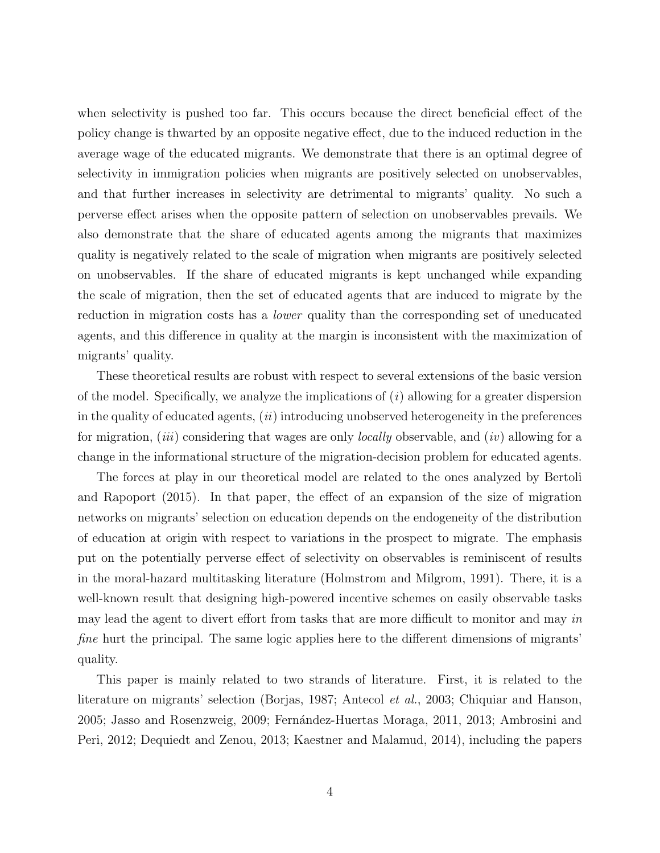when selectivity is pushed too far. This occurs because the direct beneficial effect of the policy change is thwarted by an opposite negative effect, due to the induced reduction in the average wage of the educated migrants. We demonstrate that there is an optimal degree of selectivity in immigration policies when migrants are positively selected on unobservables, and that further increases in selectivity are detrimental to migrants' quality. No such a perverse effect arises when the opposite pattern of selection on unobservables prevails. We also demonstrate that the share of educated agents among the migrants that maximizes quality is negatively related to the scale of migration when migrants are positively selected on unobservables. If the share of educated migrants is kept unchanged while expanding the scale of migration, then the set of educated agents that are induced to migrate by the reduction in migration costs has a *lower* quality than the corresponding set of uneducated agents, and this difference in quality at the margin is inconsistent with the maximization of migrants' quality.

These theoretical results are robust with respect to several extensions of the basic version of the model. Specifically, we analyze the implications of  $(i)$  allowing for a greater dispersion in the quality of educated agents,  $(ii)$  introducing unobserved heterogeneity in the preferences for migration, (*iii*) considering that wages are only *locally* observable, and (*iv*) allowing for a change in the informational structure of the migration-decision problem for educated agents.

The forces at play in our theoretical model are related to the ones analyzed by Bertoli and Rapoport (2015). In that paper, the effect of an expansion of the size of migration networks on migrants' selection on education depends on the endogeneity of the distribution of education at origin with respect to variations in the prospect to migrate. The emphasis put on the potentially perverse effect of selectivity on observables is reminiscent of results in the moral-hazard multitasking literature (Holmstrom and Milgrom, 1991). There, it is a well-known result that designing high-powered incentive schemes on easily observable tasks may lead the agent to divert effort from tasks that are more difficult to monitor and may in fine hurt the principal. The same logic applies here to the different dimensions of migrants' quality.

This paper is mainly related to two strands of literature. First, it is related to the literature on migrants' selection (Borjas, 1987; Antecol et al., 2003; Chiquiar and Hanson, 2005; Jasso and Rosenzweig, 2009; Fernández-Huertas Moraga, 2011, 2013; Ambrosini and Peri, 2012; Dequiedt and Zenou, 2013; Kaestner and Malamud, 2014), including the papers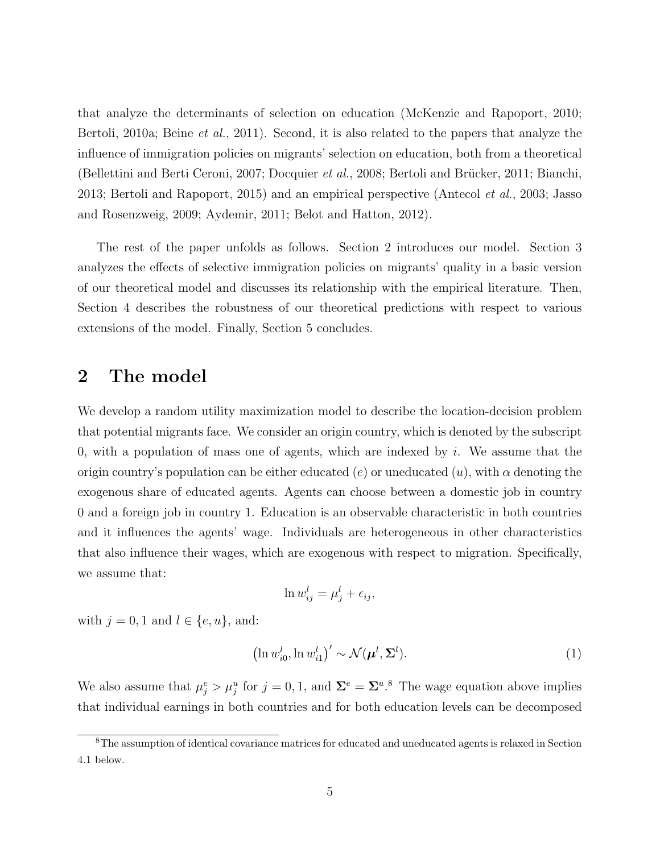that analyze the determinants of selection on education (McKenzie and Rapoport, 2010; Bertoli, 2010a; Beine *et al.*, 2011). Second, it is also related to the papers that analyze the influence of immigration policies on migrants' selection on education, both from a theoretical (Bellettini and Berti Ceroni, 2007; Docquier et al., 2008; Bertoli and Brücker, 2011; Bianchi, 2013; Bertoli and Rapoport, 2015) and an empirical perspective (Antecol et al., 2003; Jasso and Rosenzweig, 2009; Aydemir, 2011; Belot and Hatton, 2012).

The rest of the paper unfolds as follows. Section 2 introduces our model. Section 3 analyzes the effects of selective immigration policies on migrants' quality in a basic version of our theoretical model and discusses its relationship with the empirical literature. Then, Section 4 describes the robustness of our theoretical predictions with respect to various extensions of the model. Finally, Section 5 concludes.

### 2 The model

We develop a random utility maximization model to describe the location-decision problem that potential migrants face. We consider an origin country, which is denoted by the subscript 0, with a population of mass one of agents, which are indexed by  $i$ . We assume that the origin country's population can be either educated (e) or uneducated  $(u)$ , with  $\alpha$  denoting the exogenous share of educated agents. Agents can choose between a domestic job in country 0 and a foreign job in country 1. Education is an observable characteristic in both countries and it influences the agents' wage. Individuals are heterogeneous in other characteristics that also influence their wages, which are exogenous with respect to migration. Specifically, we assume that:

$$
\ln w_{ij}^l = \mu_j^l + \epsilon_{ij},
$$

with  $j = 0, 1$  and  $l \in \{e, u\}$ , and:

$$
\left(\ln w_{i0}^l, \ln w_{i1}^l\right)' \sim \mathcal{N}(\boldsymbol{\mu}^l, \boldsymbol{\Sigma}^l). \tag{1}
$$

We also assume that  $\mu_j^e > \mu_j^u$  for  $j = 0, 1$ , and  $\Sigma^e = \Sigma^u$ .<sup>8</sup> The wage equation above implies that individual earnings in both countries and for both education levels can be decomposed

<sup>8</sup>The assumption of identical covariance matrices for educated and uneducated agents is relaxed in Section 4.1 below.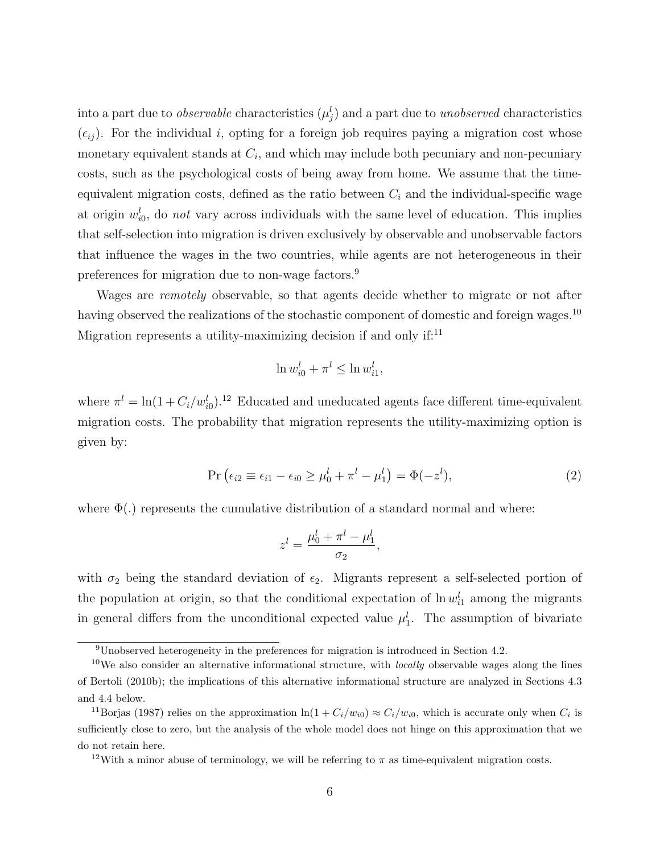into a part due to *observable* characteristics  $(\mu_j^l)$  and a part due to *unobserved* characteristics  $(\epsilon_{ij})$ . For the individual i, opting for a foreign job requires paying a migration cost whose monetary equivalent stands at  $C_i$ , and which may include both pecuniary and non-pecuniary costs, such as the psychological costs of being away from home. We assume that the timeequivalent migration costs, defined as the ratio between  $C_i$  and the individual-specific wage at origin  $w_{i0}^l$ , do not vary across individuals with the same level of education. This implies that self-selection into migration is driven exclusively by observable and unobservable factors that influence the wages in the two countries, while agents are not heterogeneous in their preferences for migration due to non-wage factors.<sup>9</sup>

Wages are *remotely* observable, so that agents decide whether to migrate or not after having observed the realizations of the stochastic component of domestic and foreign wages.<sup>10</sup> Migration represents a utility-maximizing decision if and only if:<sup>11</sup>

$$
\ln w_{i0}^l + \pi^l \le \ln w_{i1}^l,
$$

where  $\pi^l = \ln(1 + C_i/w_{i0}^l)$ <sup>12</sup> Educated and uneducated agents face different time-equivalent migration costs. The probability that migration represents the utility-maximizing option is given by:

$$
Pr\left(\epsilon_{i2} \equiv \epsilon_{i1} - \epsilon_{i0} \ge \mu_0^l + \pi^l - \mu_1^l\right) = \Phi(-z^l),\tag{2}
$$

where  $\Phi(.)$  represents the cumulative distribution of a standard normal and where:

$$
z^l = \frac{\mu_0^l + \pi^l - \mu_1^l}{\sigma_2},
$$

with  $\sigma_2$  being the standard deviation of  $\epsilon_2$ . Migrants represent a self-selected portion of the population at origin, so that the conditional expectation of  $\ln w_{i1}^l$  among the migrants in general differs from the unconditional expected value  $\mu_1^l$ . The assumption of bivariate

<sup>9</sup>Unobserved heterogeneity in the preferences for migration is introduced in Section 4.2.

<sup>&</sup>lt;sup>10</sup>We also consider an alternative informational structure, with *locally* observable wages along the lines of Bertoli (2010b); the implications of this alternative informational structure are analyzed in Sections 4.3 and 4.4 below.

<sup>&</sup>lt;sup>11</sup>Borjas (1987) relies on the approximation  $\ln(1 + C_i/w_{i0}) \approx C_i/w_{i0}$ , which is accurate only when  $C_i$  is sufficiently close to zero, but the analysis of the whole model does not hinge on this approximation that we do not retain here.

<sup>&</sup>lt;sup>12</sup>With a minor abuse of terminology, we will be referring to  $\pi$  as time-equivalent migration costs.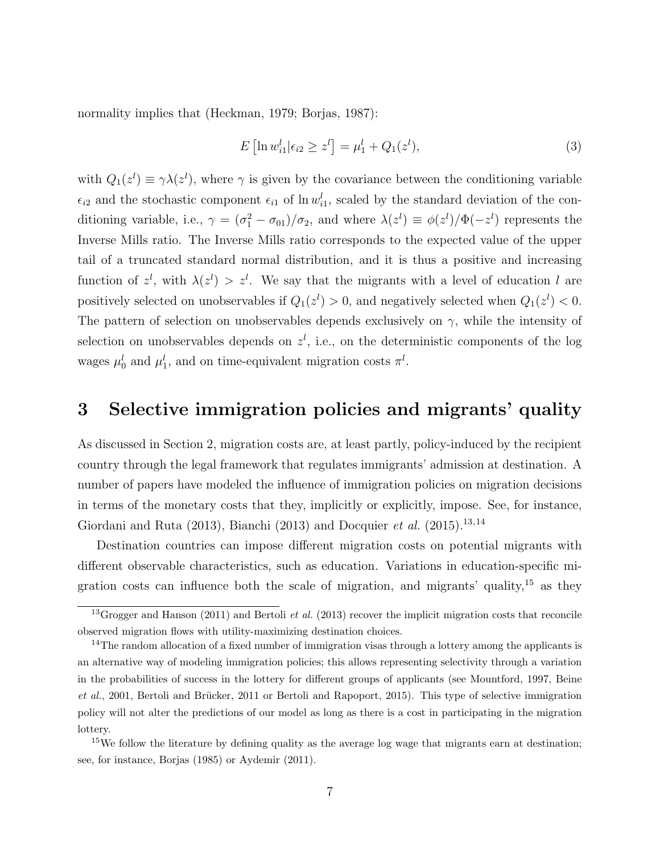normality implies that (Heckman, 1979; Borjas, 1987):

$$
E\left[\ln w_{i1}^l | \epsilon_{i2} \ge z^l\right] = \mu_1^l + Q_1(z^l),\tag{3}
$$

with  $Q_1(z^l) \equiv \gamma \lambda(z^l)$ , where  $\gamma$  is given by the covariance between the conditioning variable  $\epsilon_{i2}$  and the stochastic component  $\epsilon_{i1}$  of ln  $w_{i1}^l$ , scaled by the standard deviation of the conditioning variable, i.e.,  $\gamma = (\sigma_1^2 - \sigma_{01})/\sigma_2$ , and where  $\lambda(z^l) \equiv \phi(z^l)/\Phi(-z^l)$  represents the Inverse Mills ratio. The Inverse Mills ratio corresponds to the expected value of the upper tail of a truncated standard normal distribution, and it is thus a positive and increasing function of  $z^l$ , with  $\lambda(z^l) > z^l$ . We say that the migrants with a level of education l are positively selected on unobservables if  $Q_1(z^l) > 0$ , and negatively selected when  $Q_1(z^l) < 0$ . The pattern of selection on unobservables depends exclusively on  $\gamma$ , while the intensity of selection on unobservables depends on  $z^l$ , i.e., on the deterministic components of the log wages  $\mu_0^l$  and  $\mu_1^l$ , and on time-equivalent migration costs  $\pi^l$ .

### 3 Selective immigration policies and migrants' quality

As discussed in Section 2, migration costs are, at least partly, policy-induced by the recipient country through the legal framework that regulates immigrants' admission at destination. A number of papers have modeled the influence of immigration policies on migration decisions in terms of the monetary costs that they, implicitly or explicitly, impose. See, for instance, Giordani and Ruta (2013), Bianchi (2013) and Docquier *et al.* (2015).<sup>13,14</sup>

Destination countries can impose different migration costs on potential migrants with different observable characteristics, such as education. Variations in education-specific migration costs can influence both the scale of migration, and migrants' quality,<sup>15</sup> as they

<sup>&</sup>lt;sup>13</sup>Grogger and Hanson (2011) and Bertoli *et al.* (2013) recover the implicit migration costs that reconcile observed migration flows with utility-maximizing destination choices.

<sup>&</sup>lt;sup>14</sup>The random allocation of a fixed number of immigration visas through a lottery among the applicants is an alternative way of modeling immigration policies; this allows representing selectivity through a variation in the probabilities of success in the lottery for different groups of applicants (see Mountford, 1997, Beine et al., 2001, Bertoli and Brücker, 2011 or Bertoli and Rapoport, 2015). This type of selective immigration policy will not alter the predictions of our model as long as there is a cost in participating in the migration lottery.

<sup>&</sup>lt;sup>15</sup>We follow the literature by defining quality as the average log wage that migrants earn at destination; see, for instance, Borjas (1985) or Aydemir (2011).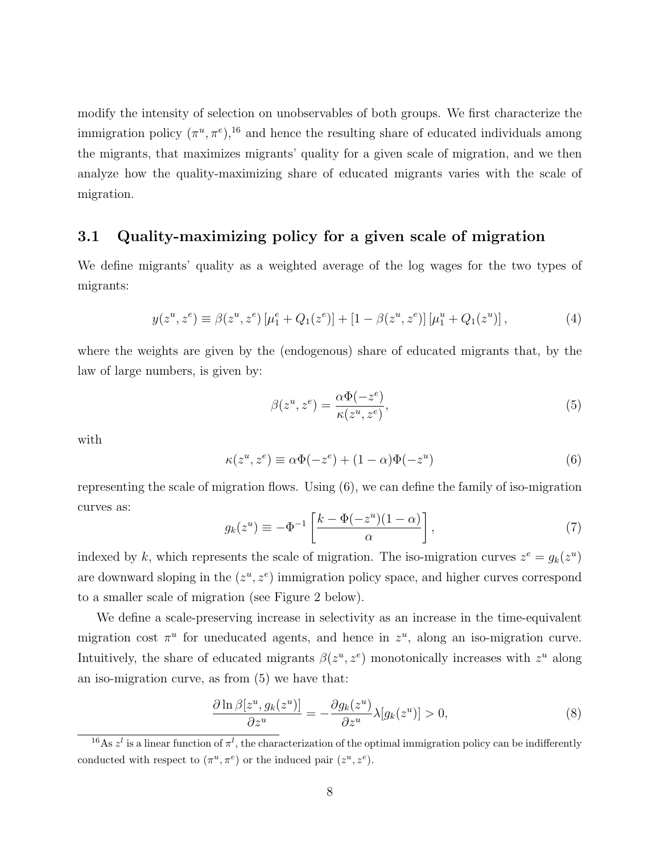modify the intensity of selection on unobservables of both groups. We first characterize the immigration policy  $(\pi^u, \pi^e)$ ,<sup>16</sup> and hence the resulting share of educated individuals among the migrants, that maximizes migrants' quality for a given scale of migration, and we then analyze how the quality-maximizing share of educated migrants varies with the scale of migration.

#### 3.1 Quality-maximizing policy for a given scale of migration

We define migrants' quality as a weighted average of the log wages for the two types of migrants:

$$
y(z^u, z^e) \equiv \beta(z^u, z^e) \left[ \mu_1^e + Q_1(z^e) \right] + \left[ 1 - \beta(z^u, z^e) \right] \left[ \mu_1^u + Q_1(z^u) \right],\tag{4}
$$

where the weights are given by the (endogenous) share of educated migrants that, by the law of large numbers, is given by:

$$
\beta(z^u, z^e) = \frac{\alpha \Phi(-z^e)}{\kappa(z^u, z^e)},\tag{5}
$$

with

$$
\kappa(z^u, z^e) \equiv \alpha \Phi(-z^e) + (1 - \alpha) \Phi(-z^u)
$$
\n(6)

representing the scale of migration flows. Using (6), we can define the family of iso-migration curves as:

$$
g_k(z^u) \equiv -\Phi^{-1}\left[\frac{k-\Phi(-z^u)(1-\alpha)}{\alpha}\right],\tag{7}
$$

indexed by k, which represents the scale of migration. The iso-migration curves  $z^e = g_k(z^u)$ are downward sloping in the  $(z^u, z^e)$  immigration policy space, and higher curves correspond to a smaller scale of migration (see Figure 2 below).

We define a scale-preserving increase in selectivity as an increase in the time-equivalent migration cost  $\pi^u$  for uneducated agents, and hence in  $z^u$ , along an iso-migration curve. Intuitively, the share of educated migrants  $\beta(z^u, z^e)$  monotonically increases with  $z^u$  along an iso-migration curve, as from (5) we have that:

$$
\frac{\partial \ln \beta[z^u, g_k(z^u)]}{\partial z^u} = -\frac{\partial g_k(z^u)}{\partial z^u} \lambda[g_k(z^u)] > 0,\tag{8}
$$

<sup>&</sup>lt;sup>16</sup>As  $z^l$  is a linear function of  $\pi^l$ , the characterization of the optimal immigration policy can be indifferently conducted with respect to  $(\pi^u, \pi^e)$  or the induced pair  $(z^u, z^e)$ .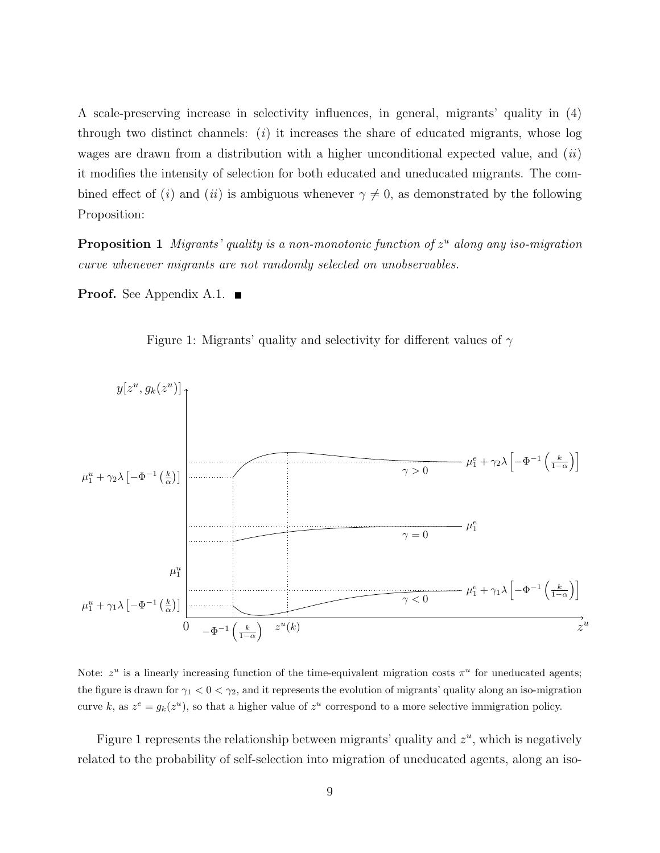A scale-preserving increase in selectivity influences, in general, migrants' quality in (4) through two distinct channels:  $(i)$  it increases the share of educated migrants, whose log wages are drawn from a distribution with a higher unconditional expected value, and  $(ii)$ it modifies the intensity of selection for both educated and uneducated migrants. The combined effect of (i) and (ii) is ambiguous whenever  $\gamma \neq 0$ , as demonstrated by the following Proposition:

**Proposition 1** Migrants' quality is a non-monotonic function of  $z^u$  along any iso-migration curve whenever migrants are not randomly selected on unobservables.

**Proof.** See Appendix A.1.  $\blacksquare$ 





Note:  $z^u$  is a linearly increasing function of the time-equivalent migration costs  $\pi^u$  for uneducated agents; the figure is drawn for  $\gamma_1 < 0 < \gamma_2$ , and it represents the evolution of migrants' quality along an iso-migration curve k, as  $z^e = g_k(z^u)$ , so that a higher value of  $z^u$  correspond to a more selective immigration policy.

Figure 1 represents the relationship between migrants' quality and  $z<sup>u</sup>$ , which is negatively related to the probability of self-selection into migration of uneducated agents, along an iso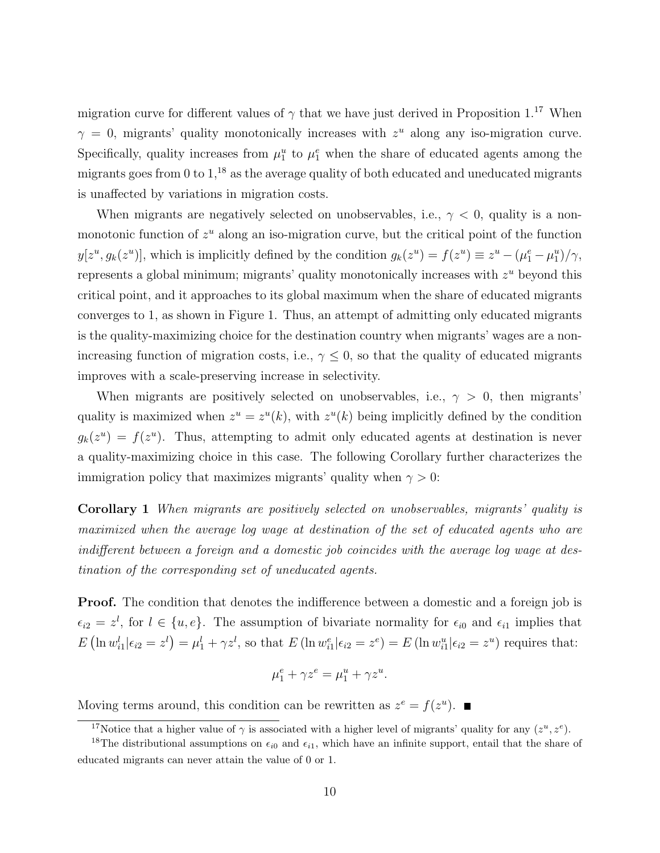migration curve for different values of  $\gamma$  that we have just derived in Proposition 1.<sup>17</sup> When  $\gamma = 0$ , migrants' quality monotonically increases with  $z<sup>u</sup>$  along any iso-migration curve. Specifically, quality increases from  $\mu_1^u$  to  $\mu_1^e$  when the share of educated agents among the migrants goes from 0 to  $1<sup>18</sup>$  as the average quality of both educated and uneducated migrants is unaffected by variations in migration costs.

When migrants are negatively selected on unobservables, i.e.,  $\gamma < 0$ , quality is a nonmonotonic function of  $z<sup>u</sup>$  along an iso-migration curve, but the critical point of the function  $y[z^u, g_k(z^u)]$ , which is implicitly defined by the condition  $g_k(z^u) = f(z^u) \equiv z^u - (\mu_1^e - \mu_1^u)/\gamma$ , represents a global minimum; migrants' quality monotonically increases with  $z<sup>u</sup>$  beyond this critical point, and it approaches to its global maximum when the share of educated migrants converges to 1, as shown in Figure 1. Thus, an attempt of admitting only educated migrants is the quality-maximizing choice for the destination country when migrants' wages are a nonincreasing function of migration costs, i.e.,  $\gamma \leq 0$ , so that the quality of educated migrants improves with a scale-preserving increase in selectivity.

When migrants are positively selected on unobservables, i.e.,  $\gamma > 0$ , then migrants' quality is maximized when  $z^u = z^u(k)$ , with  $z^u(k)$  being implicitly defined by the condition  $g_k(z^u) = f(z^u)$ . Thus, attempting to admit only educated agents at destination is never a quality-maximizing choice in this case. The following Corollary further characterizes the immigration policy that maximizes migrants' quality when  $\gamma > 0$ :

Corollary 1 When migrants are positively selected on unobservables, migrants' quality is maximized when the average log wage at destination of the set of educated agents who are indifferent between a foreign and a domestic job coincides with the average log wage at destination of the corresponding set of uneducated agents.

**Proof.** The condition that denotes the indifference between a domestic and a foreign job is  $\epsilon_{i2} = z^l$ , for  $l \in \{u, e\}$ . The assumption of bivariate normality for  $\epsilon_{i0}$  and  $\epsilon_{i1}$  implies that  $E\left(\ln w_{i1}^l \middle| \epsilon_{i2} = z^l\right) = \mu_1^l + \gamma z^l$ , so that  $E\left(\ln w_{i1}^e \middle| \epsilon_{i2} = z^e\right) = E\left(\ln w_{i1}^u \middle| \epsilon_{i2} = z^u\right)$  requires that:

$$
\mu_1^e + \gamma z^e = \mu_1^u + \gamma z^u.
$$

Moving terms around, this condition can be rewritten as  $z^e = f(z^u)$ .

<sup>&</sup>lt;sup>17</sup>Notice that a higher value of  $\gamma$  is associated with a higher level of migrants' quality for any  $(z^u, z^e)$ .

<sup>&</sup>lt;sup>18</sup>The distributional assumptions on  $\epsilon_{i0}$  and  $\epsilon_{i1}$ , which have an infinite support, entail that the share of educated migrants can never attain the value of 0 or 1.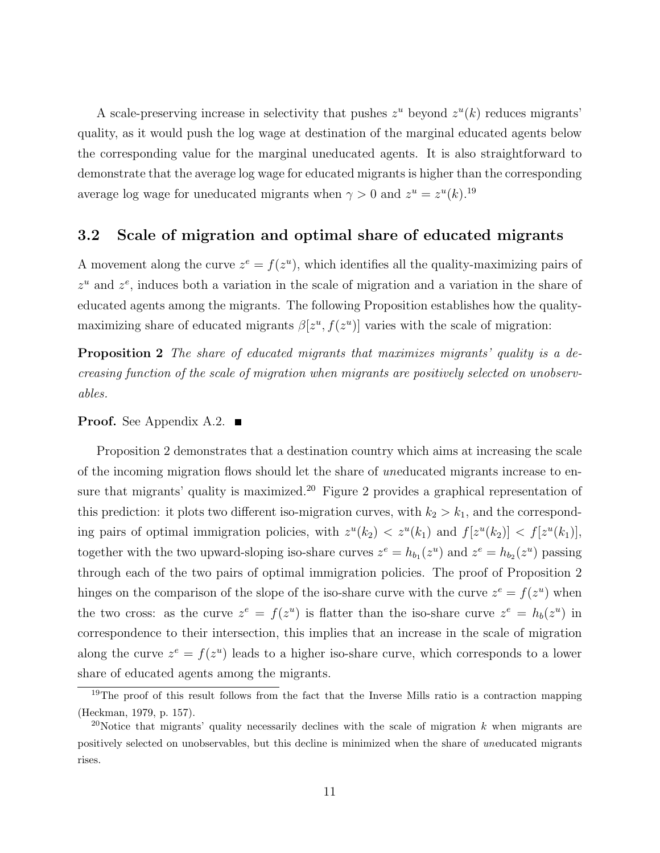A scale-preserving increase in selectivity that pushes  $z^u$  beyond  $z^u(k)$  reduces migrants' quality, as it would push the log wage at destination of the marginal educated agents below the corresponding value for the marginal uneducated agents. It is also straightforward to demonstrate that the average log wage for educated migrants is higher than the corresponding average log wage for uneducated migrants when  $\gamma > 0$  and  $z^u = z^u(k)$ .<sup>19</sup>

#### 3.2 Scale of migration and optimal share of educated migrants

A movement along the curve  $z^e = f(z^u)$ , which identifies all the quality-maximizing pairs of  $z^u$  and  $z^e$ , induces both a variation in the scale of migration and a variation in the share of educated agents among the migrants. The following Proposition establishes how the qualitymaximizing share of educated migrants  $\beta[z^u, f(z^u)]$  varies with the scale of migration:

Proposition 2 The share of educated migrants that maximizes migrants' quality is a decreasing function of the scale of migration when migrants are positively selected on unobservables.

#### **Proof.** See Appendix A.2.  $\blacksquare$

Proposition 2 demonstrates that a destination country which aims at increasing the scale of the incoming migration flows should let the share of uneducated migrants increase to ensure that migrants' quality is maximized.<sup>20</sup> Figure 2 provides a graphical representation of this prediction: it plots two different iso-migration curves, with  $k_2 > k_1$ , and the corresponding pairs of optimal immigration policies, with  $z^u(k_2) < z^u(k_1)$  and  $f[z^u(k_2)] < f[z^u(k_1)]$ , together with the two upward-sloping iso-share curves  $z^e = h_{b_1}(z^u)$  and  $z^e = h_{b_2}(z^u)$  passing through each of the two pairs of optimal immigration policies. The proof of Proposition 2 hinges on the comparison of the slope of the iso-share curve with the curve  $z^e = f(z^u)$  when the two cross: as the curve  $z^e = f(z^u)$  is flatter than the iso-share curve  $z^e = h_b(z^u)$  in correspondence to their intersection, this implies that an increase in the scale of migration along the curve  $z^e = f(z^u)$  leads to a higher iso-share curve, which corresponds to a lower share of educated agents among the migrants.

 $19$ The proof of this result follows from the fact that the Inverse Mills ratio is a contraction mapping (Heckman, 1979, p. 157).

<sup>&</sup>lt;sup>20</sup>Notice that migrants' quality necessarily declines with the scale of migration k when migrants are positively selected on unobservables, but this decline is minimized when the share of uneducated migrants rises.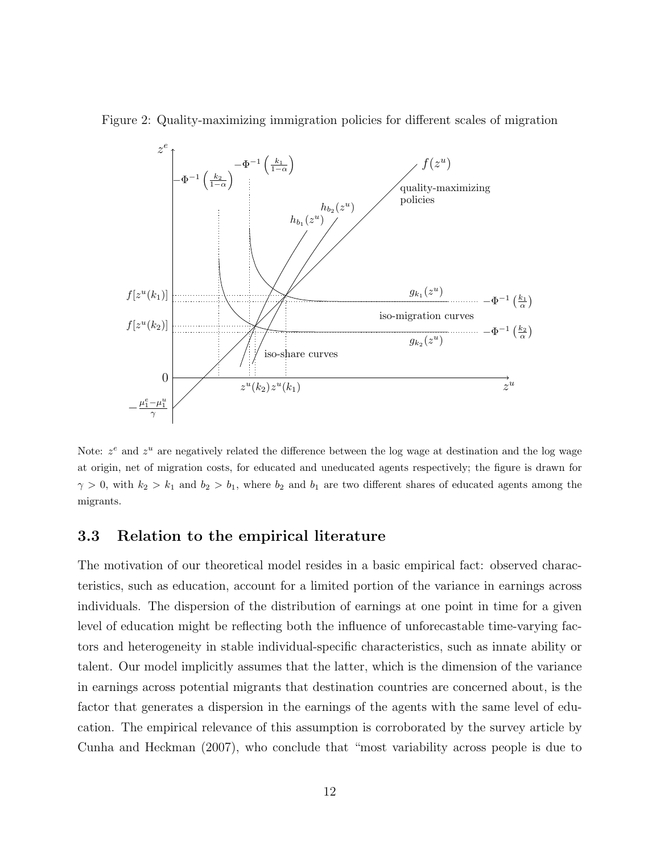Figure 2: Quality-maximizing immigration policies for different scales of migration



Note:  $z^e$  and  $z^u$  are negatively related the difference between the log wage at destination and the log wage at origin, net of migration costs, for educated and uneducated agents respectively; the figure is drawn for  $\gamma > 0$ , with  $k_2 > k_1$  and  $b_2 > b_1$ , where  $b_2$  and  $b_1$  are two different shares of educated agents among the migrants.

#### 3.3 Relation to the empirical literature

The motivation of our theoretical model resides in a basic empirical fact: observed characteristics, such as education, account for a limited portion of the variance in earnings across individuals. The dispersion of the distribution of earnings at one point in time for a given level of education might be reflecting both the influence of unforecastable time-varying factors and heterogeneity in stable individual-specific characteristics, such as innate ability or talent. Our model implicitly assumes that the latter, which is the dimension of the variance in earnings across potential migrants that destination countries are concerned about, is the factor that generates a dispersion in the earnings of the agents with the same level of education. The empirical relevance of this assumption is corroborated by the survey article by Cunha and Heckman (2007), who conclude that "most variability across people is due to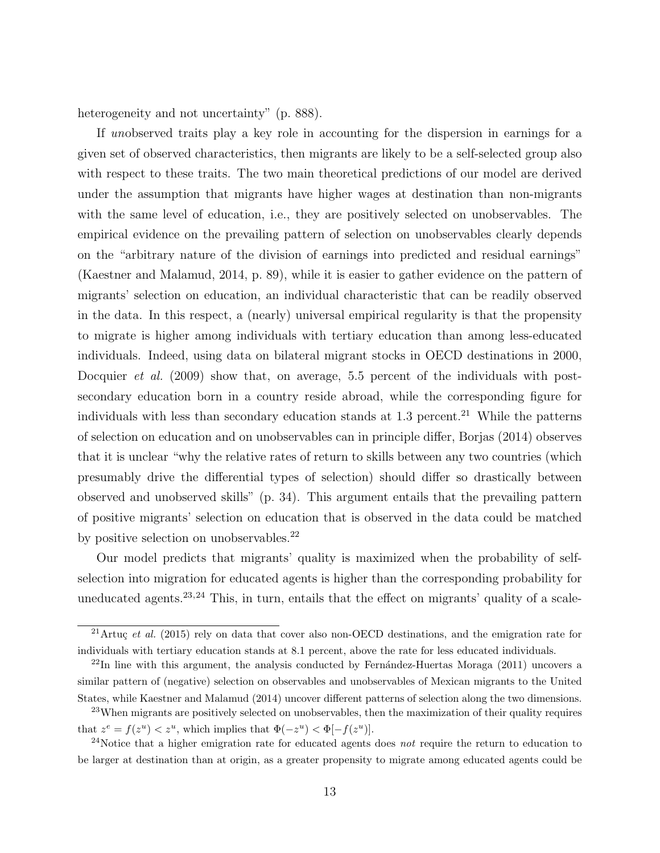heterogeneity and not uncertainty" (p. 888).

If unobserved traits play a key role in accounting for the dispersion in earnings for a given set of observed characteristics, then migrants are likely to be a self-selected group also with respect to these traits. The two main theoretical predictions of our model are derived under the assumption that migrants have higher wages at destination than non-migrants with the same level of education, i.e., they are positively selected on unobservables. The empirical evidence on the prevailing pattern of selection on unobservables clearly depends on the "arbitrary nature of the division of earnings into predicted and residual earnings" (Kaestner and Malamud, 2014, p. 89), while it is easier to gather evidence on the pattern of migrants' selection on education, an individual characteristic that can be readily observed in the data. In this respect, a (nearly) universal empirical regularity is that the propensity to migrate is higher among individuals with tertiary education than among less-educated individuals. Indeed, using data on bilateral migrant stocks in OECD destinations in 2000, Docquier *et al.* (2009) show that, on average, 5.5 percent of the individuals with postsecondary education born in a country reside abroad, while the corresponding figure for individuals with less than secondary education stands at  $1.3$  percent.<sup>21</sup> While the patterns of selection on education and on unobservables can in principle differ, Borjas (2014) observes that it is unclear "why the relative rates of return to skills between any two countries (which presumably drive the differential types of selection) should differ so drastically between observed and unobserved skills" (p. 34). This argument entails that the prevailing pattern of positive migrants' selection on education that is observed in the data could be matched by positive selection on unobservables.<sup>22</sup>

Our model predicts that migrants' quality is maximized when the probability of selfselection into migration for educated agents is higher than the corresponding probability for uneducated agents.<sup>23,24</sup> This, in turn, entails that the effect on migrants' quality of a scale-

<sup>&</sup>lt;sup>21</sup>Artuç et al. (2015) rely on data that cover also non-OECD destinations, and the emigration rate for individuals with tertiary education stands at 8.1 percent, above the rate for less educated individuals.

 $^{22}$ In line with this argument, the analysis conducted by Fernández-Huertas Moraga (2011) uncovers a similar pattern of (negative) selection on observables and unobservables of Mexican migrants to the United States, while Kaestner and Malamud (2014) uncover different patterns of selection along the two dimensions.

<sup>&</sup>lt;sup>23</sup>When migrants are positively selected on unobservables, then the maximization of their quality requires that  $z^e = f(z^u) < z^u$ , which implies that  $\Phi(-z^u) < \Phi[-f(z^u)]$ .

<sup>&</sup>lt;sup>24</sup>Notice that a higher emigration rate for educated agents does *not* require the return to education to be larger at destination than at origin, as a greater propensity to migrate among educated agents could be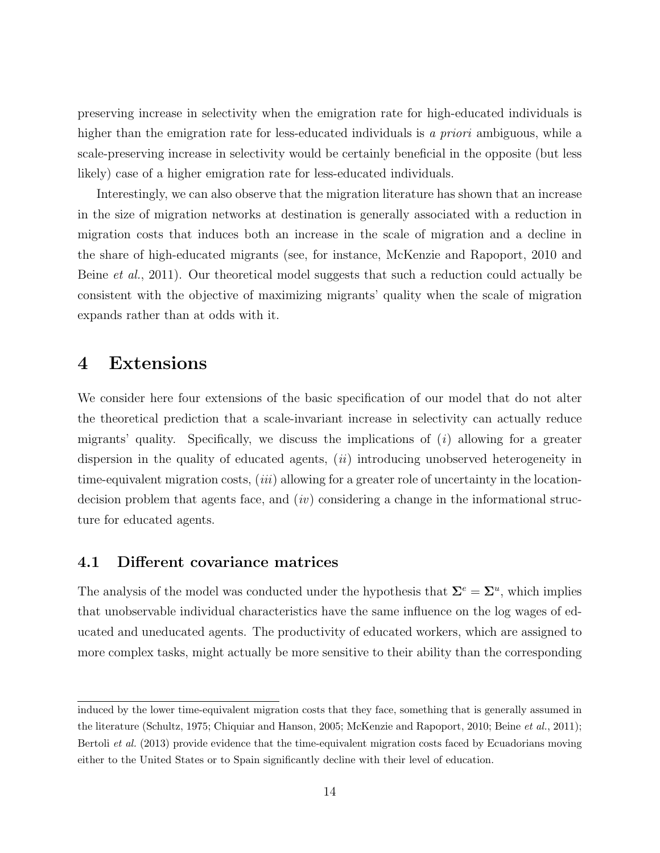preserving increase in selectivity when the emigration rate for high-educated individuals is higher than the emigration rate for less-educated individuals is a priori ambiguous, while a scale-preserving increase in selectivity would be certainly beneficial in the opposite (but less likely) case of a higher emigration rate for less-educated individuals.

Interestingly, we can also observe that the migration literature has shown that an increase in the size of migration networks at destination is generally associated with a reduction in migration costs that induces both an increase in the scale of migration and a decline in the share of high-educated migrants (see, for instance, McKenzie and Rapoport, 2010 and Beine et al., 2011). Our theoretical model suggests that such a reduction could actually be consistent with the objective of maximizing migrants' quality when the scale of migration expands rather than at odds with it.

### 4 Extensions

We consider here four extensions of the basic specification of our model that do not alter the theoretical prediction that a scale-invariant increase in selectivity can actually reduce migrants' quality. Specifically, we discuss the implications of  $(i)$  allowing for a greater dispersion in the quality of educated agents,  $(ii)$  introducing unobserved heterogeneity in time-equivalent migration costs,  $(iii)$  allowing for a greater role of uncertainty in the locationdecision problem that agents face, and  $(iv)$  considering a change in the informational structure for educated agents.

#### 4.1 Different covariance matrices

The analysis of the model was conducted under the hypothesis that  $\Sigma^e = \Sigma^u$ , which implies that unobservable individual characteristics have the same influence on the log wages of educated and uneducated agents. The productivity of educated workers, which are assigned to more complex tasks, might actually be more sensitive to their ability than the corresponding

induced by the lower time-equivalent migration costs that they face, something that is generally assumed in the literature (Schultz, 1975; Chiquiar and Hanson, 2005; McKenzie and Rapoport, 2010; Beine et al., 2011); Bertoli et al. (2013) provide evidence that the time-equivalent migration costs faced by Ecuadorians moving either to the United States or to Spain significantly decline with their level of education.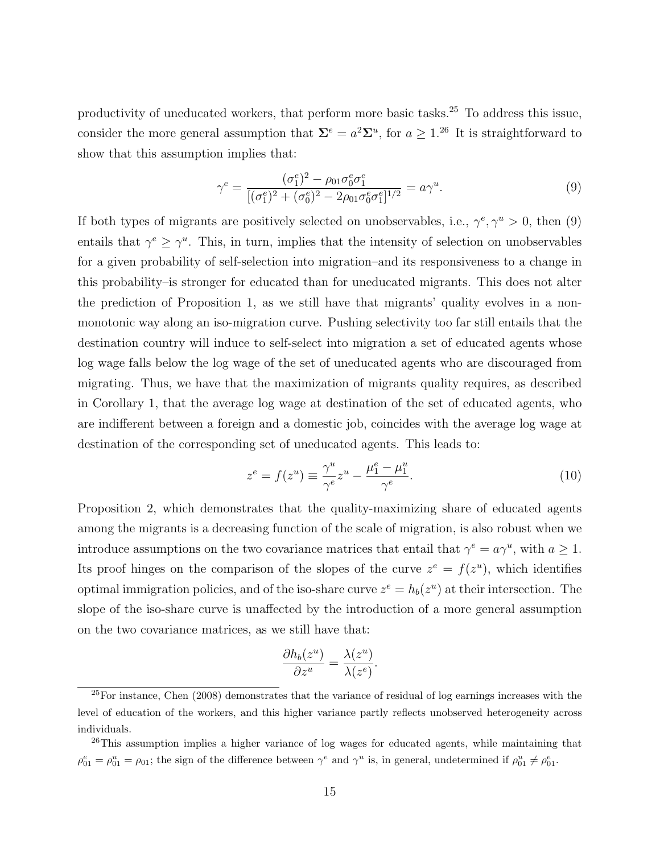productivity of uneducated workers, that perform more basic tasks.<sup>25</sup> To address this issue, consider the more general assumption that  $\Sigma^e = a^2 \Sigma^u$ , for  $a \geq 1$ .<sup>26</sup> It is straightforward to show that this assumption implies that:

$$
\gamma^{e} = \frac{(\sigma_1^{e})^2 - \rho_{01}\sigma_0^{e}\sigma_1^{e}}{[(\sigma_1^{e})^2 + (\sigma_0^{e})^2 - 2\rho_{01}\sigma_0^{e}\sigma_1^{e}]^{1/2}} = a\gamma^{u}.
$$
\n(9)

If both types of migrants are positively selected on unobservables, i.e.,  $\gamma^e$ ,  $\gamma^u > 0$ , then (9) entails that  $\gamma^e \geq \gamma^u$ . This, in turn, implies that the intensity of selection on unobservables for a given probability of self-selection into migration–and its responsiveness to a change in this probability–is stronger for educated than for uneducated migrants. This does not alter the prediction of Proposition 1, as we still have that migrants' quality evolves in a nonmonotonic way along an iso-migration curve. Pushing selectivity too far still entails that the destination country will induce to self-select into migration a set of educated agents whose log wage falls below the log wage of the set of uneducated agents who are discouraged from migrating. Thus, we have that the maximization of migrants quality requires, as described in Corollary 1, that the average log wage at destination of the set of educated agents, who are indifferent between a foreign and a domestic job, coincides with the average log wage at destination of the corresponding set of uneducated agents. This leads to:

$$
z^{e} = f(z^{u}) \equiv \frac{\gamma^{u}}{\gamma^{e}} z^{u} - \frac{\mu_{1}^{e} - \mu_{1}^{u}}{\gamma^{e}}.
$$
\n(10)

Proposition 2, which demonstrates that the quality-maximizing share of educated agents among the migrants is a decreasing function of the scale of migration, is also robust when we introduce assumptions on the two covariance matrices that entail that  $\gamma^e = a\gamma^u$ , with  $a \ge 1$ . Its proof hinges on the comparison of the slopes of the curve  $z^e = f(z^u)$ , which identifies optimal immigration policies, and of the iso-share curve  $z^e = h_b(z^u)$  at their intersection. The slope of the iso-share curve is unaffected by the introduction of a more general assumption on the two covariance matrices, as we still have that:

$$
\frac{\partial h_b(z^u)}{\partial z^u} = \frac{\lambda(z^u)}{\lambda(z^e)}.
$$

<sup>25</sup>For instance, Chen (2008) demonstrates that the variance of residual of log earnings increases with the level of education of the workers, and this higher variance partly reflects unobserved heterogeneity across individuals.

<sup>&</sup>lt;sup>26</sup>This assumption implies a higher variance of log wages for educated agents, while maintaining that  $\rho_{01}^e = \rho_{01}^u = \rho_{01}$ ; the sign of the difference between  $\gamma^e$  and  $\gamma^u$  is, in general, undetermined if  $\rho_{01}^u \neq \rho_{01}^e$ .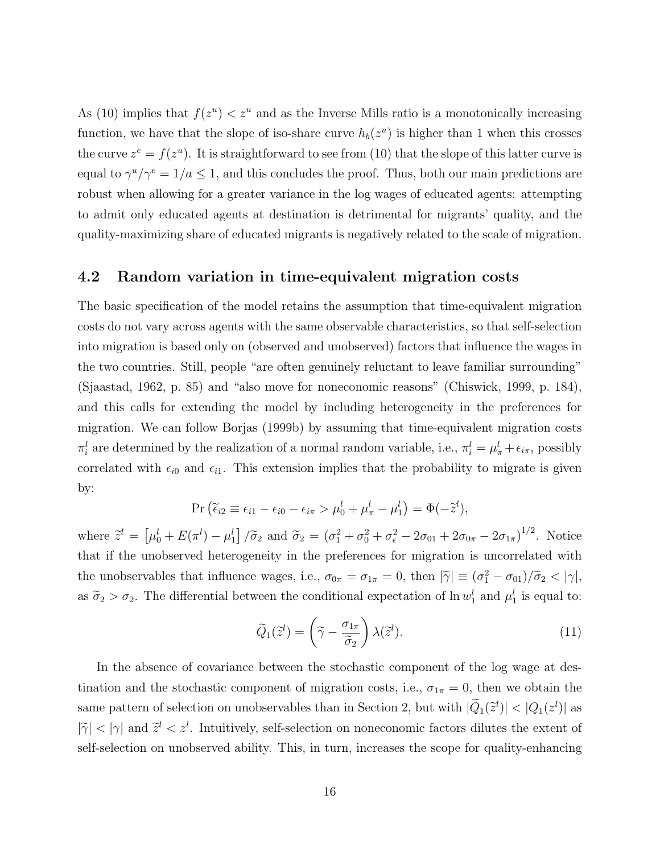As (10) implies that  $f(z^u) < z^u$  and as the Inverse Mills ratio is a monotonically increasing function, we have that the slope of iso-share curve  $h_b(z^u)$  is higher than 1 when this crosses the curve  $z^e = f(z^u)$ . It is straightforward to see from (10) that the slope of this latter curve is equal to  $\gamma^u/\gamma^e = 1/a \leq 1$ , and this concludes the proof. Thus, both our main predictions are robust when allowing for a greater variance in the log wages of educated agents: attempting to admit only educated agents at destination is detrimental for migrants' quality, and the quality-maximizing share of educated migrants is negatively related to the scale of migration.

#### 4.2 Random variation in time-equivalent migration costs

The basic specification of the model retains the assumption that time-equivalent migration costs do not vary across agents with the same observable characteristics, so that self-selection into migration is based only on (observed and unobserved) factors that influence the wages in the two countries. Still, people "are often genuinely reluctant to leave familiar surrounding" (Sjaastad, 1962, p. 85) and "also move for noneconomic reasons" (Chiswick, 1999, p. 184), and this calls for extending the model by including heterogeneity in the preferences for migration. We can follow Borjas (1999b) by assuming that time-equivalent migration costs  $\pi_i^l$  are determined by the realization of a normal random variable, i.e.,  $\pi_i^l = \mu_{\pi}^l + \epsilon_{i\pi}$ , possibly correlated with  $\epsilon_{i0}$  and  $\epsilon_{i1}$ . This extension implies that the probability to migrate is given by:

$$
\Pr\left(\widetilde{\epsilon}_{i2}\equiv\epsilon_{i1}-\epsilon_{i0}-\epsilon_{i\pi}>\mu_0^l+\mu_\pi^l-\mu_1^l\right)=\Phi(-\widetilde{z}^l),
$$

where  $\tilde{z}^l = \left[\mu_0^l + E(\pi^l) - \mu_1^l\right] / \tilde{\sigma}_2$  and  $\tilde{\sigma}_2 = (\sigma_1^2 + \sigma_0^2 + \sigma_\epsilon^2 - 2\sigma_{01} + 2\sigma_{0\pi} - 2\sigma_{1\pi})^{1/2}$ . Notice that if the unobserved heterogeneity in the preferences for migration is uncorrelated with the unobservables that influence wages, i.e.,  $\sigma_{0\pi} = \sigma_{1\pi} = 0$ , then  $|\tilde{\gamma}| \equiv (\sigma_1^2 - \sigma_{01})/\tilde{\sigma}_2 < |\gamma|$ , as  $\tilde{\sigma}_2 > \sigma_2$ . The differential between the conditional expectation of  $\ln w_1^l$  and  $\mu_1^l$  is equal to:

$$
\widetilde{Q}_1(\widetilde{z}^l) = \left(\widetilde{\gamma} - \frac{\sigma_{1\pi}}{\widetilde{\sigma}_2}\right) \lambda(\widetilde{z}^l). \tag{11}
$$

In the absence of covariance between the stochastic component of the log wage at destination and the stochastic component of migration costs, i.e.,  $\sigma_{1\pi} = 0$ , then we obtain the same pattern of selection on unobservables than in Section 2, but with  $|\tilde{Q}_1(\tilde{z}^l)| < |Q_1(z^l)|$  as  $|\tilde{\gamma}| < |\gamma|$  and  $\tilde{z}^l < z^l$ . Intuitively, self-selection on noneconomic factors dilutes the extent of self-selection on unobserved ability. This, in turn, increases the scope for quality-enhancing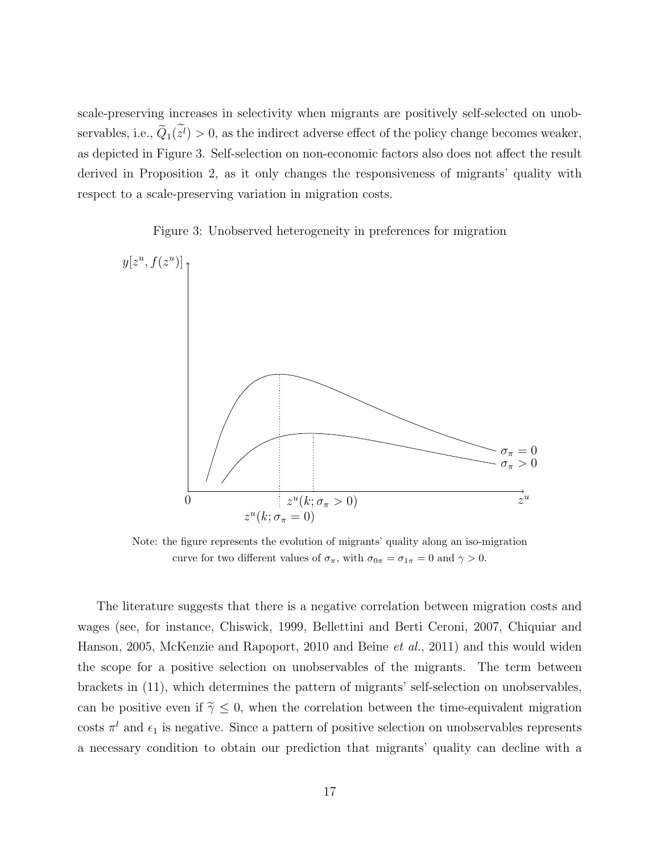scale-preserving increases in selectivity when migrants are positively self-selected on unobservables, i.e.,  $Q_1(z^l) > 0$ , as the indirect adverse effect of the policy change becomes weaker, as depicted in Figure 3. Self-selection on non-economic factors also does not affect the result derived in Proposition 2, as it only changes the responsiveness of migrants' quality with respect to a scale-preserving variation in migration costs.

Figure 3: Unobserved heterogeneity in preferences for migration



Note: the figure represents the evolution of migrants' quality along an iso-migration curve for two different values of  $\sigma_{\pi}$ , with  $\sigma_{0\pi} = \sigma_{1\pi} = 0$  and  $\gamma > 0$ .

The literature suggests that there is a negative correlation between migration costs and wages (see, for instance, Chiswick, 1999, Bellettini and Berti Ceroni, 2007, Chiquiar and Hanson, 2005, McKenzie and Rapoport, 2010 and Beine et al., 2011) and this would widen the scope for a positive selection on unobservables of the migrants. The term between brackets in (11), which determines the pattern of migrants' self-selection on unobservables, can be positive even if  $\tilde{\gamma} \leq 0$ , when the correlation between the time-equivalent migration costs  $\pi^{l}$  and  $\epsilon_{1}$  is negative. Since a pattern of positive selection on unobservables represents a necessary condition to obtain our prediction that migrants' quality can decline with a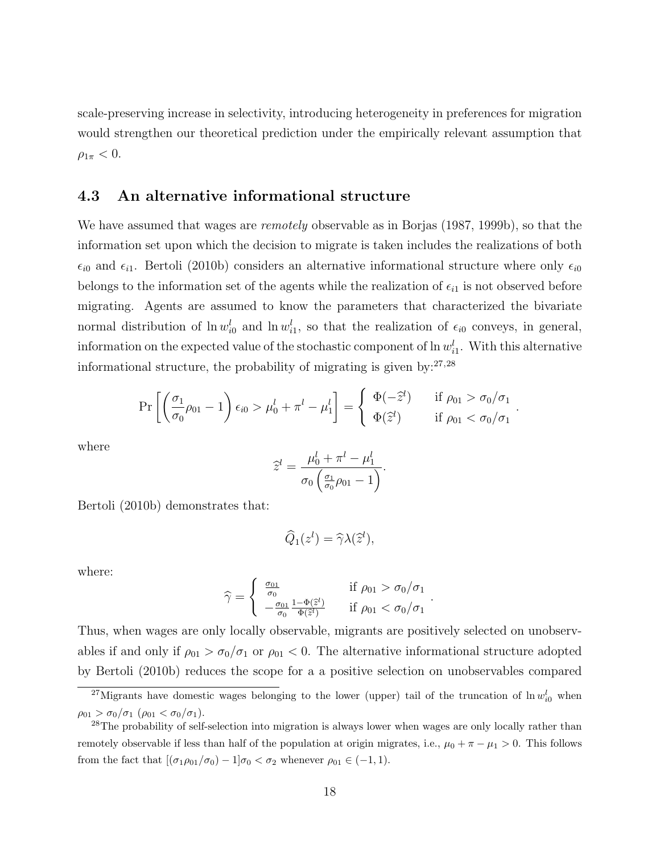scale-preserving increase in selectivity, introducing heterogeneity in preferences for migration would strengthen our theoretical prediction under the empirically relevant assumption that  $\rho_{1\pi} < 0.$ 

#### 4.3 An alternative informational structure

We have assumed that wages are *remotely* observable as in Borjas (1987, 1999b), so that the information set upon which the decision to migrate is taken includes the realizations of both  $\epsilon_{i0}$  and  $\epsilon_{i1}$ . Bertoli (2010b) considers an alternative informational structure where only  $\epsilon_{i0}$ belongs to the information set of the agents while the realization of  $\epsilon_{i1}$  is not observed before migrating. Agents are assumed to know the parameters that characterized the bivariate normal distribution of  $\ln w_{i0}^l$  and  $\ln w_{i1}^l$ , so that the realization of  $\epsilon_{i0}$  conveys, in general, information on the expected value of the stochastic component of  $\ln w_{i1}^l$ . With this alternative informational structure, the probability of migrating is given by: $27,28$ 

$$
\Pr\left[\left(\frac{\sigma_1}{\sigma_0}\rho_{01}-1\right)\epsilon_{i0} > \mu_0^l + \pi^l - \mu_1^l\right] = \begin{cases} \Phi(-\hat{z}^l) & \text{if } \rho_{01} > \sigma_0/\sigma_1\\ \Phi(\hat{z}^l) & \text{if } \rho_{01} < \sigma_0/\sigma_1 \end{cases}
$$

.

where

$$
\widehat{z}^l = \frac{\mu_0^l + \pi^l - \mu_1^l}{\sigma_0 \left( \frac{\sigma_1}{\sigma_0} \rho_{01} - 1 \right)}.
$$

Bertoli (2010b) demonstrates that:

$$
\widehat{Q}_1(z^l) = \widehat{\gamma} \lambda(\widehat{z}^l),
$$

where:

$$
\widehat{\gamma} = \begin{cases}\n\frac{\sigma_{01}}{\sigma_0} & \text{if } \rho_{01} > \sigma_0/\sigma_1 \\
-\frac{\sigma_{01}}{\sigma_0} \frac{1 - \Phi(\widehat{z}^l)}{\Phi(\widehat{z}^l)} & \text{if } \rho_{01} < \sigma_0/\sigma_1\n\end{cases}.
$$

Thus, when wages are only locally observable, migrants are positively selected on unobservables if and only if  $\rho_{01} > \sigma_0/\sigma_1$  or  $\rho_{01} < 0$ . The alternative informational structure adopted by Bertoli (2010b) reduces the scope for a a positive selection on unobservables compared

<sup>&</sup>lt;sup>27</sup>Migrants have domestic wages belonging to the lower (upper) tail of the truncation of  $\ln w_{i0}^l$  when  $\rho_{01} > \sigma_0/\sigma_1$  ( $\rho_{01} < \sigma_0/\sigma_1$ ).

<sup>&</sup>lt;sup>28</sup>The probability of self-selection into migration is always lower when wages are only locally rather than remotely observable if less than half of the population at origin migrates, i.e.,  $\mu_0 + \pi - \mu_1 > 0$ . This follows from the fact that  $[(\sigma_1\rho_{01}/\sigma_0) - 1]\sigma_0 < \sigma_2$  whenever  $\rho_{01} \in (-1, 1)$ .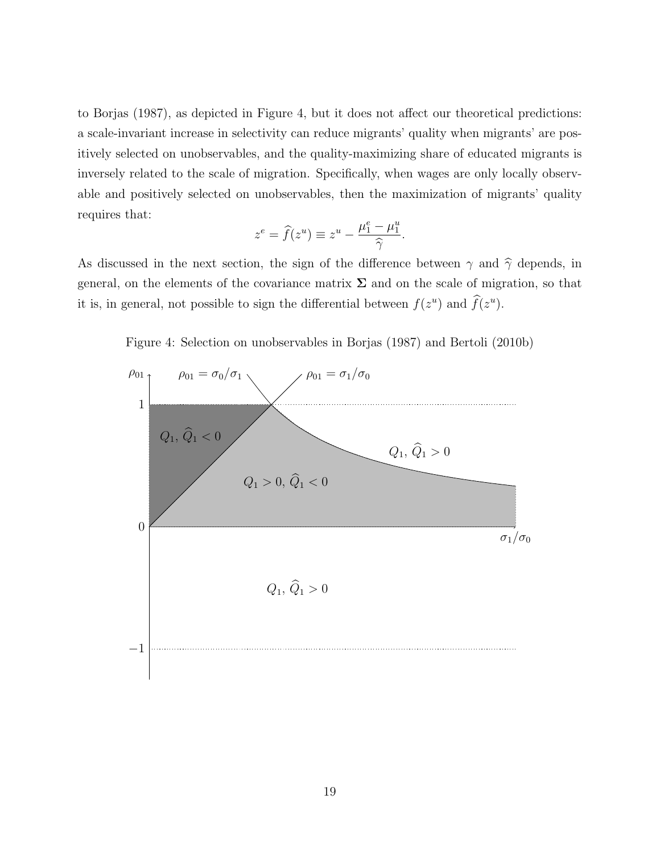to Borjas (1987), as depicted in Figure 4, but it does not affect our theoretical predictions: a scale-invariant increase in selectivity can reduce migrants' quality when migrants' are positively selected on unobservables, and the quality-maximizing share of educated migrants is inversely related to the scale of migration. Specifically, when wages are only locally observable and positively selected on unobservables, then the maximization of migrants' quality requires that:

$$
z^{e} = \widehat{f}(z^{u}) \equiv z^{u} - \frac{\mu_{1}^{e} - \mu_{1}^{u}}{\widehat{\gamma}}.
$$

As discussed in the next section, the sign of the difference between  $\gamma$  and  $\hat{\gamma}$  depends, in general, on the elements of the covariance matrix  $\Sigma$  and on the scale of migration, so that it is, in general, not possible to sign the differential between  $f(z^u)$  and  $\hat{f}(z^u)$ .

Figure 4: Selection on unobservables in Borjas (1987) and Bertoli (2010b)

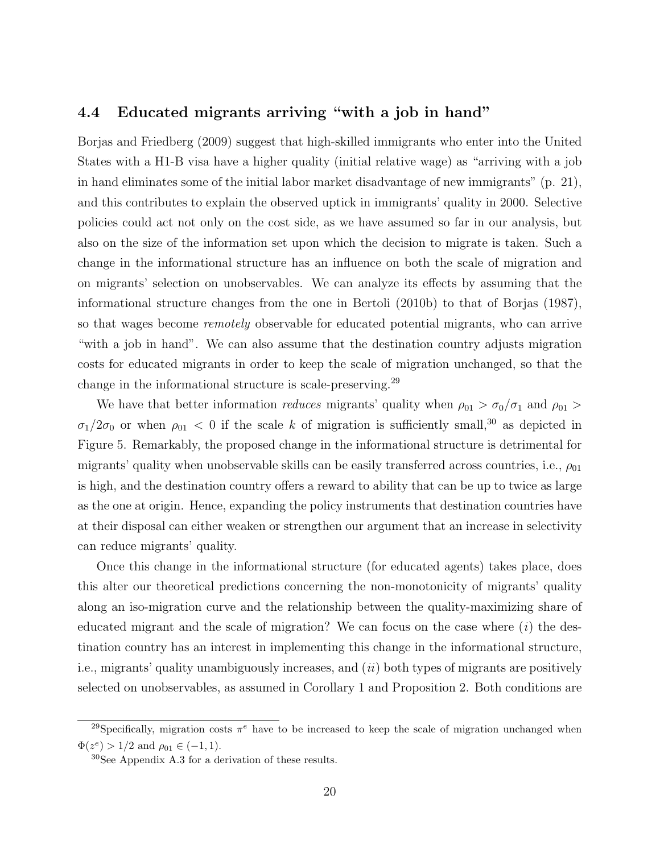#### 4.4 Educated migrants arriving "with a job in hand"

Borjas and Friedberg (2009) suggest that high-skilled immigrants who enter into the United States with a H1-B visa have a higher quality (initial relative wage) as "arriving with a job in hand eliminates some of the initial labor market disadvantage of new immigrants" (p. 21), and this contributes to explain the observed uptick in immigrants' quality in 2000. Selective policies could act not only on the cost side, as we have assumed so far in our analysis, but also on the size of the information set upon which the decision to migrate is taken. Such a change in the informational structure has an influence on both the scale of migration and on migrants' selection on unobservables. We can analyze its effects by assuming that the informational structure changes from the one in Bertoli (2010b) to that of Borjas (1987), so that wages become *remotely* observable for educated potential migrants, who can arrive "with a job in hand". We can also assume that the destination country adjusts migration costs for educated migrants in order to keep the scale of migration unchanged, so that the change in the informational structure is scale-preserving.<sup>29</sup>

We have that better information *reduces* migrants' quality when  $\rho_{01} > \sigma_0/\sigma_1$  and  $\rho_{01} >$  $\sigma_1/2\sigma_0$  or when  $\rho_{01}$  < 0 if the scale k of migration is sufficiently small,<sup>30</sup> as depicted in Figure 5. Remarkably, the proposed change in the informational structure is detrimental for migrants' quality when unobservable skills can be easily transferred across countries, i.e.,  $\rho_{01}$ is high, and the destination country offers a reward to ability that can be up to twice as large as the one at origin. Hence, expanding the policy instruments that destination countries have at their disposal can either weaken or strengthen our argument that an increase in selectivity can reduce migrants' quality.

Once this change in the informational structure (for educated agents) takes place, does this alter our theoretical predictions concerning the non-monotonicity of migrants' quality along an iso-migration curve and the relationship between the quality-maximizing share of educated migrant and the scale of migration? We can focus on the case where  $(i)$  the destination country has an interest in implementing this change in the informational structure, i.e., migrants' quality unambiguously increases, and (ii) both types of migrants are positively selected on unobservables, as assumed in Corollary 1 and Proposition 2. Both conditions are

<sup>&</sup>lt;sup>29</sup>Specifically, migration costs  $\pi^e$  have to be increased to keep the scale of migration unchanged when  $\Phi(z^e) > 1/2$  and  $\rho_{01} \in (-1, 1)$ .

<sup>30</sup>See Appendix A.3 for a derivation of these results.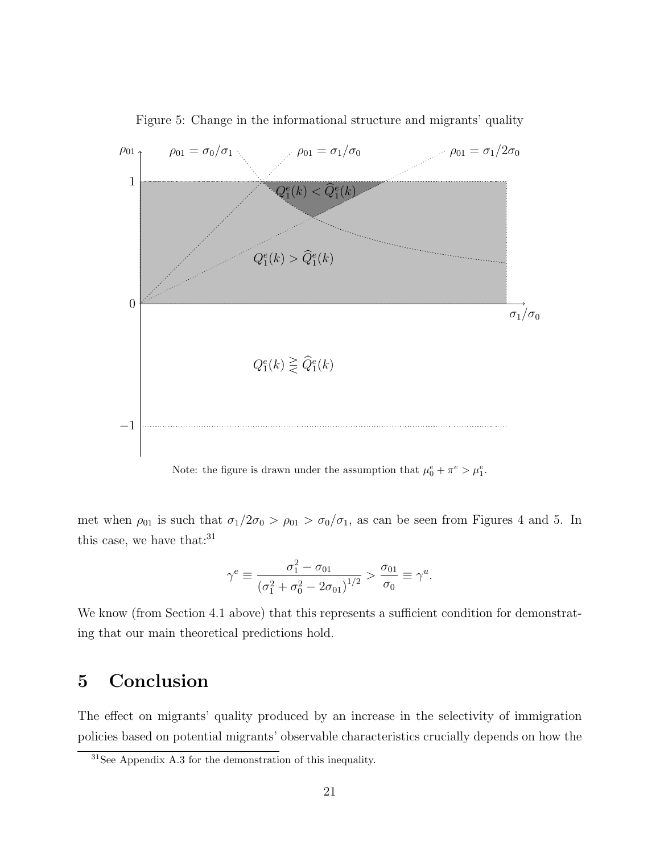

Figure 5: Change in the informational structure and migrants' quality

Note: the figure is drawn under the assumption that  $\mu_0^e + \pi^e > \mu_1^e$ .

met when  $\rho_{01}$  is such that  $\sigma_1/2\sigma_0 > \rho_{01} > \sigma_0/\sigma_1$ , as can be seen from Figures 4 and 5. In this case, we have that: $31$ 

$$
\gamma^{e} \equiv \frac{\sigma_1^{2} - \sigma_{01}}{\left(\sigma_1^{2} + \sigma_0^{2} - 2\sigma_{01}\right)^{1/2}} > \frac{\sigma_{01}}{\sigma_0} \equiv \gamma^{u}.
$$

We know (from Section 4.1 above) that this represents a sufficient condition for demonstrating that our main theoretical predictions hold.

### 5 Conclusion

The effect on migrants' quality produced by an increase in the selectivity of immigration policies based on potential migrants' observable characteristics crucially depends on how the

<sup>31</sup>See Appendix A.3 for the demonstration of this inequality.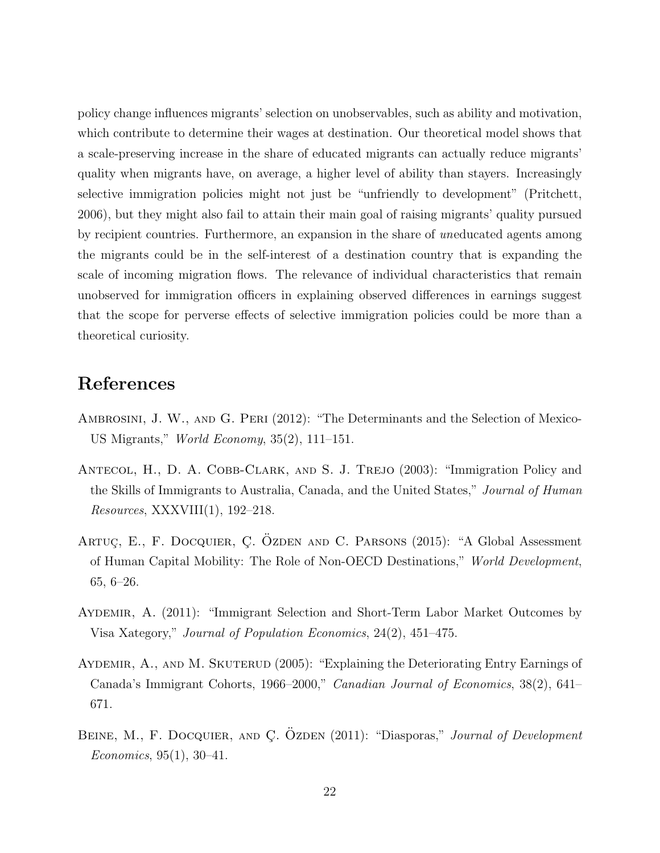policy change influences migrants' selection on unobservables, such as ability and motivation, which contribute to determine their wages at destination. Our theoretical model shows that a scale-preserving increase in the share of educated migrants can actually reduce migrants' quality when migrants have, on average, a higher level of ability than stayers. Increasingly selective immigration policies might not just be "unfriendly to development" (Pritchett, 2006), but they might also fail to attain their main goal of raising migrants' quality pursued by recipient countries. Furthermore, an expansion in the share of uneducated agents among the migrants could be in the self-interest of a destination country that is expanding the scale of incoming migration flows. The relevance of individual characteristics that remain unobserved for immigration officers in explaining observed differences in earnings suggest that the scope for perverse effects of selective immigration policies could be more than a theoretical curiosity.

### References

- Ambrosini, J. W., and G. Peri (2012): "The Determinants and the Selection of Mexico-US Migrants," World Economy, 35(2), 111–151.
- ANTECOL, H., D. A. COBB-CLARK, AND S. J. TREJO (2003): "Immigration Policy and the Skills of Immigrants to Australia, Canada, and the United States," Journal of Human Resources, XXXVIII(1), 192–218.
- ARTUC, E., F. DOCQUIER, C. OZDEN AND C. PARSONS (2015): "A Global Assessment of Human Capital Mobility: The Role of Non-OECD Destinations," World Development, 65, 6–26.
- Aydemir, A. (2011): "Immigrant Selection and Short-Term Labor Market Outcomes by Visa Xategory," Journal of Population Economics, 24(2), 451–475.
- AYDEMIR, A., AND M. SKUTERUD (2005): "Explaining the Deteriorating Entry Earnings of Canada's Immigrant Cohorts, 1966–2000," Canadian Journal of Economics, 38(2), 641– 671.
- BEINE, M., F. DOCQUIER, AND C. ÖZDEN (2011): "Diasporas," *Journal of Development* Economics, 95(1), 30–41.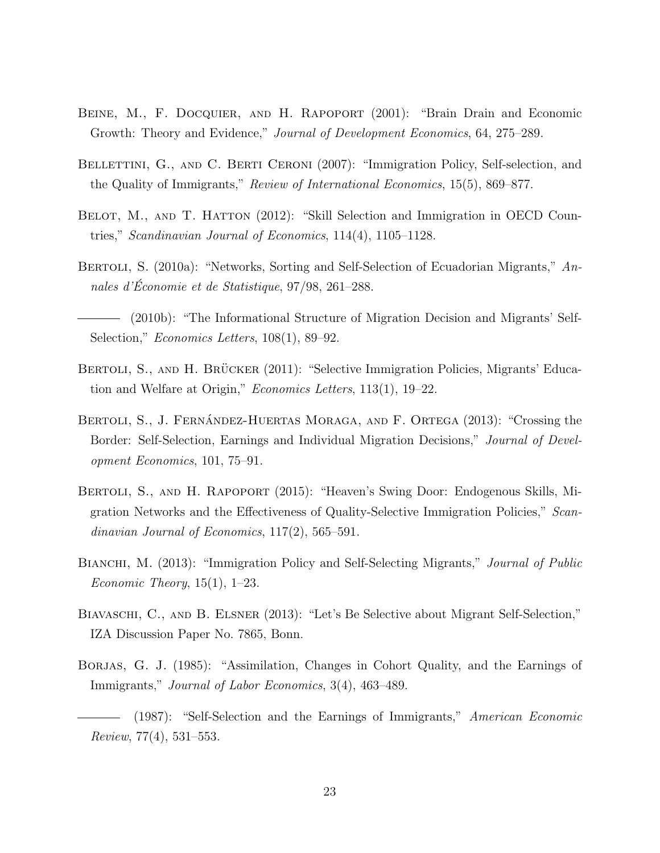- BEINE, M., F. DOCQUIER, AND H. RAPOPORT (2001): "Brain Drain and Economic Growth: Theory and Evidence," Journal of Development Economics, 64, 275–289.
- BELLETTINI, G., AND C. BERTI CERONI (2007): "Immigration Policy, Self-selection, and the Quality of Immigrants," Review of International Economics, 15(5), 869–877.
- BELOT, M., AND T. HATTON (2012): "Skill Selection and Immigration in OECD Countries," Scandinavian Journal of Economics, 114(4), 1105–1128.
- BERTOLI, S. (2010a): "Networks, Sorting and Self-Selection of Ecuadorian Migrants," Annales d'Économie et de Statistique,  $97/98$ ,  $261-288$ .
- (2010b): "The Informational Structure of Migration Decision and Migrants' Self-Selection," *Economics Letters*, 108(1), 89–92.
- BERTOLI, S., AND H. BRÜCKER (2011): "Selective Immigration Policies, Migrants' Education and Welfare at Origin," Economics Letters, 113(1), 19–22.
- BERTOLI, S., J. FERNÁNDEZ-HUERTAS MORAGA, AND F. ORTEGA (2013): "Crossing the Border: Self-Selection, Earnings and Individual Migration Decisions," Journal of Development Economics, 101, 75–91.
- Bertoli, S., and H. Rapoport (2015): "Heaven's Swing Door: Endogenous Skills, Migration Networks and the Effectiveness of Quality-Selective Immigration Policies," Scandinavian Journal of Economics, 117(2), 565-591.
- BIANCHI, M. (2013): "Immigration Policy and Self-Selecting Migrants," Journal of Public Economic Theory,  $15(1)$ ,  $1-23$ .
- Biavaschi, C., and B. Elsner (2013): "Let's Be Selective about Migrant Self-Selection," IZA Discussion Paper No. 7865, Bonn.
- Borjas, G. J. (1985): "Assimilation, Changes in Cohort Quality, and the Earnings of Immigrants," Journal of Labor Economics, 3(4), 463–489.
	- (1987): "Self-Selection and the Earnings of Immigrants," American Economic Review, 77(4), 531–553.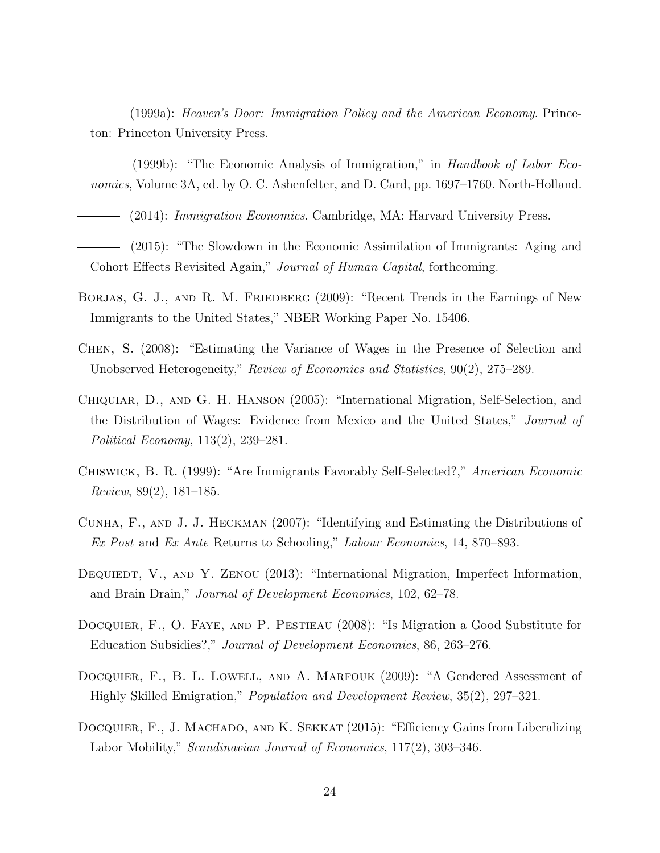(1999a): Heaven's Door: Immigration Policy and the American Economy. Princeton: Princeton University Press.

- (1999b): "The Economic Analysis of Immigration," in Handbook of Labor Economics, Volume 3A, ed. by O. C. Ashenfelter, and D. Card, pp. 1697–1760. North-Holland.
	- (2014): Immigration Economics. Cambridge, MA: Harvard University Press.
- (2015): "The Slowdown in the Economic Assimilation of Immigrants: Aging and Cohort Effects Revisited Again," Journal of Human Capital, forthcoming.
- BORJAS, G. J., AND R. M. FRIEDBERG (2009): "Recent Trends in the Earnings of New Immigrants to the United States," NBER Working Paper No. 15406.
- Chen, S. (2008): "Estimating the Variance of Wages in the Presence of Selection and Unobserved Heterogeneity," Review of Economics and Statistics, 90(2), 275–289.
- Chiquiar, D., and G. H. Hanson (2005): "International Migration, Self-Selection, and the Distribution of Wages: Evidence from Mexico and the United States," Journal of Political Economy, 113(2), 239–281.
- Chiswick, B. R. (1999): "Are Immigrants Favorably Self-Selected?," American Economic Review, 89(2), 181–185.
- Cunha, F., and J. J. Heckman (2007): "Identifying and Estimating the Distributions of Ex Post and Ex Ante Returns to Schooling," Labour Economics, 14, 870–893.
- DEQUIEDT, V., AND Y. ZENOU (2013): "International Migration, Imperfect Information, and Brain Drain," Journal of Development Economics, 102, 62–78.
- DOCQUIER, F., O. FAYE, AND P. PESTIEAU (2008): "Is Migration a Good Substitute for Education Subsidies?," Journal of Development Economics, 86, 263–276.
- DOCQUIER, F., B. L. LOWELL, AND A. MARFOUK (2009): "A Gendered Assessment of Highly Skilled Emigration," Population and Development Review, 35(2), 297–321.
- DOCQUIER, F., J. MACHADO, AND K. SEKKAT (2015): "Efficiency Gains from Liberalizing Labor Mobility," Scandinavian Journal of Economics, 117(2), 303–346.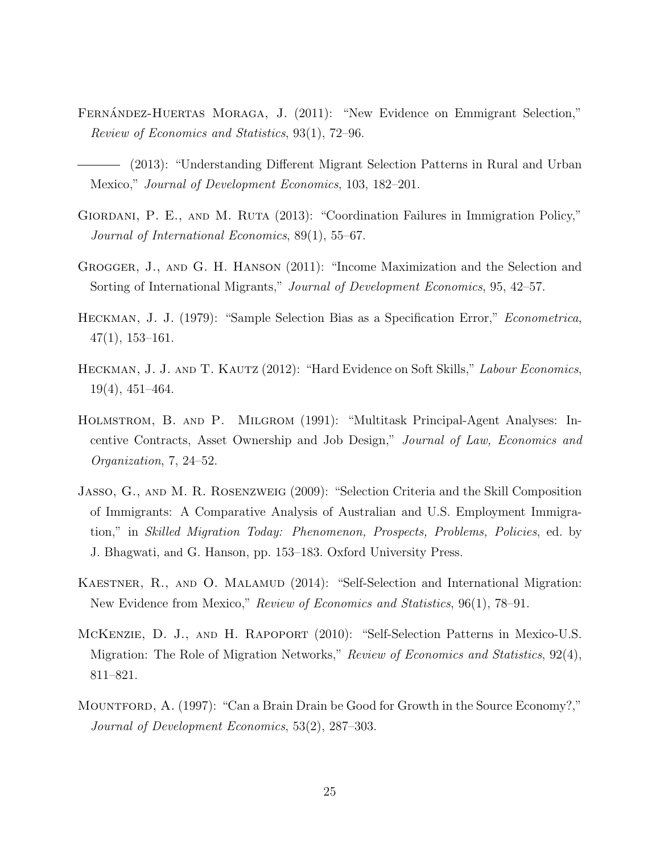- FERNÁNDEZ-HUERTAS MORAGA, J. (2011): "New Evidence on Emmigrant Selection," Review of Economics and Statistics, 93(1), 72–96.
- (2013): "Understanding Different Migrant Selection Patterns in Rural and Urban Mexico," Journal of Development Economics, 103, 182–201.
- GIORDANI, P. E., AND M. RUTA (2013): "Coordination Failures in Immigration Policy," Journal of International Economics, 89(1), 55–67.
- Grogger, J., and G. H. Hanson (2011): "Income Maximization and the Selection and Sorting of International Migrants," Journal of Development Economics, 95, 42–57.
- Heckman, J. J. (1979): "Sample Selection Bias as a Specification Error," Econometrica, 47(1), 153–161.
- HECKMAN, J. J. AND T. KAUTZ (2012): "Hard Evidence on Soft Skills," Labour Economics, 19(4), 451–464.
- Holmstrom, B. and P. Milgrom (1991): "Multitask Principal-Agent Analyses: Incentive Contracts, Asset Ownership and Job Design," Journal of Law, Economics and Organization, 7, 24–52.
- Jasso, G., and M. R. Rosenzweig (2009): "Selection Criteria and the Skill Composition of Immigrants: A Comparative Analysis of Australian and U.S. Employment Immigration," in Skilled Migration Today: Phenomenon, Prospects, Problems, Policies, ed. by J. Bhagwati, and G. Hanson, pp. 153–183. Oxford University Press.
- KAESTNER, R., AND O. MALAMUD (2014): "Self-Selection and International Migration: New Evidence from Mexico," Review of Economics and Statistics, 96(1), 78–91.
- McKenzie, D. J., and H. Rapoport (2010): "Self-Selection Patterns in Mexico-U.S. Migration: The Role of Migration Networks," *Review of Economics and Statistics*, 92(4), 811–821.
- Mountford, A. (1997): "Can a Brain Drain be Good for Growth in the Source Economy?," Journal of Development Economics, 53(2), 287–303.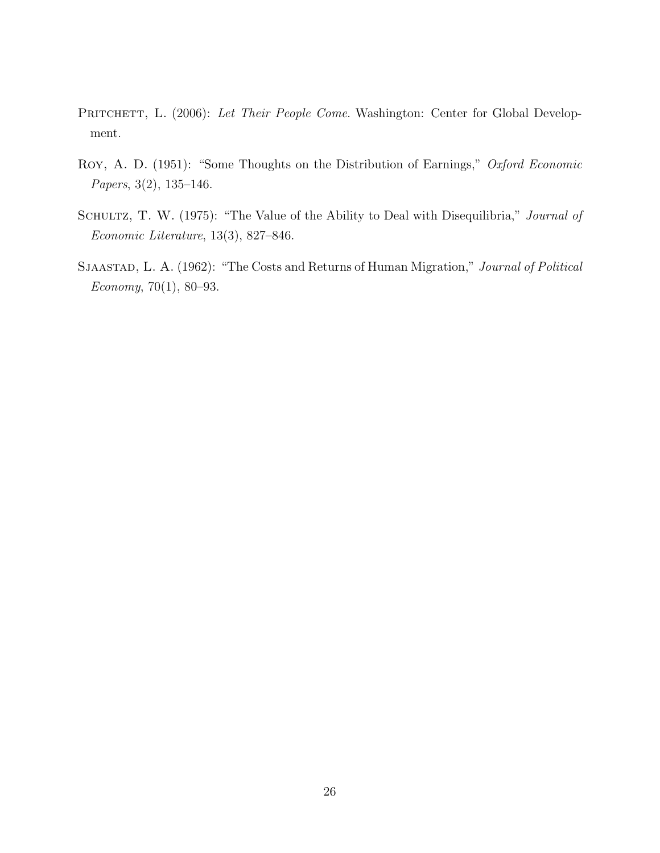- PRITCHETT, L. (2006): Let Their People Come. Washington: Center for Global Development.
- Roy, A. D. (1951): "Some Thoughts on the Distribution of Earnings," Oxford Economic Papers, 3(2), 135–146.
- SCHULTZ, T. W. (1975): "The Value of the Ability to Deal with Disequilibria," Journal of Economic Literature, 13(3), 827–846.
- SJAASTAD, L. A. (1962): "The Costs and Returns of Human Migration," Journal of Political Economy, 70(1), 80–93.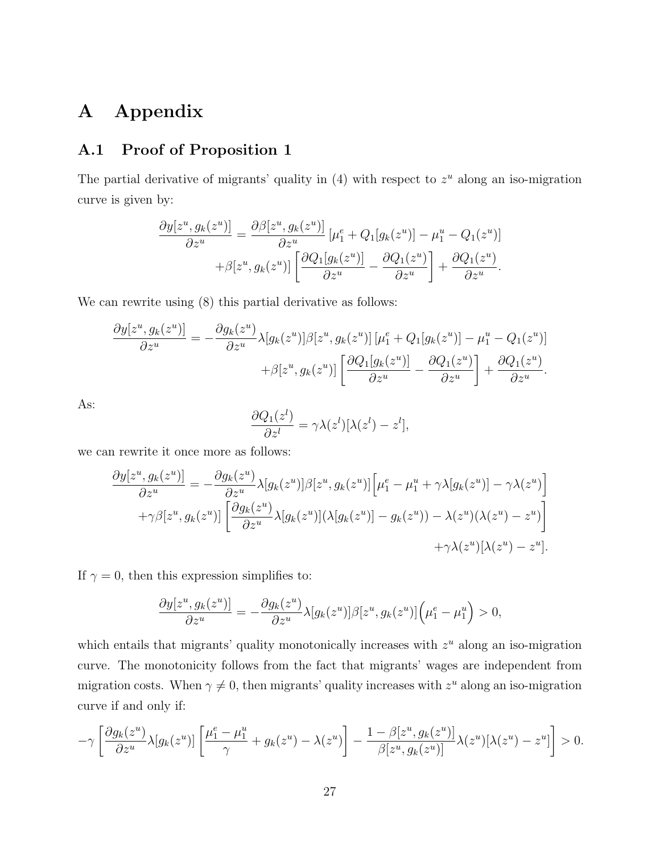# A Appendix

### A.1 Proof of Proposition 1

The partial derivative of migrants' quality in  $(4)$  with respect to  $z<sup>u</sup>$  along an iso-migration curve is given by:

$$
\frac{\partial y[z^u, g_k(z^u)]}{\partial z^u} = \frac{\partial \beta[z^u, g_k(z^u)]}{\partial z^u} \left[ \mu_1^e + Q_1[g_k(z^u)] - \mu_1^u - Q_1(z^u) \right] + \beta[z^u, g_k(z^u)] \left[ \frac{\partial Q_1[g_k(z^u)]}{\partial z^u} - \frac{\partial Q_1(z^u)}{\partial z^u} \right] + \frac{\partial Q_1(z^u)}{\partial z^u}.
$$

We can rewrite using  $(8)$  this partial derivative as follows:

$$
\frac{\partial y[z^u, g_k(z^u)]}{\partial z^u} = -\frac{\partial g_k(z^u)}{\partial z^u} \lambda[g_k(z^u)]\beta[z^u, g_k(z^u)] [\mu_1^e + Q_1[g_k(z^u)] - \mu_1^u - Q_1(z^u)] \n+ \beta[z^u, g_k(z^u)] \left[ \frac{\partial Q_1[g_k(z^u)]}{\partial z^u} - \frac{\partial Q_1(z^u)}{\partial z^u} \right] + \frac{\partial Q_1(z^u)}{\partial z^u}.
$$

As:

$$
\frac{\partial Q_1(z^l)}{\partial z^l} = \gamma \lambda(z^l) [\lambda(z^l) - z^l],
$$

we can rewrite it once more as follows:

$$
\frac{\partial y[z^u, g_k(z^u)]}{\partial z^u} = -\frac{\partial g_k(z^u)}{\partial z^u} \lambda[g_k(z^u)]\beta[z^u, g_k(z^u)] \left[\mu_1^e - \mu_1^u + \gamma \lambda[g_k(z^u)] - \gamma \lambda(z^u)\right] \n+ \gamma \beta[z^u, g_k(z^u)] \left[\frac{\partial g_k(z^u)}{\partial z^u} \lambda[g_k(z^u)](\lambda[g_k(z^u)] - g_k(z^u)) - \lambda(z^u)(\lambda(z^u) - z^u)\right] \n+ \gamma \lambda(z^u)[\lambda(z^u) - z^u].
$$

If  $\gamma = 0$ , then this expression simplifies to:

$$
\frac{\partial y[z^u, g_k(z^u)]}{\partial z^u} = -\frac{\partial g_k(z^u)}{\partial z^u} \lambda[g_k(z^u)] \beta[z^u, g_k(z^u)] \left(\mu_1^e - \mu_1^u\right) > 0,
$$

which entails that migrants' quality monotonically increases with  $z<sup>u</sup>$  along an iso-migration curve. The monotonicity follows from the fact that migrants' wages are independent from migration costs. When  $\gamma \neq 0$ , then migrants' quality increases with  $z^u$  along an iso-migration curve if and only if:

$$
-\gamma \left[ \frac{\partial g_k(z^u)}{\partial z^u} \lambda [g_k(z^u)] \left[ \frac{\mu_1^e - \mu_1^u}{\gamma} + g_k(z^u) - \lambda(z^u) \right] - \frac{1 - \beta [z^u, g_k(z^u)]}{\beta [z^u, g_k(z^u)]} \lambda(z^u) [\lambda(z^u) - z^u] \right] > 0.
$$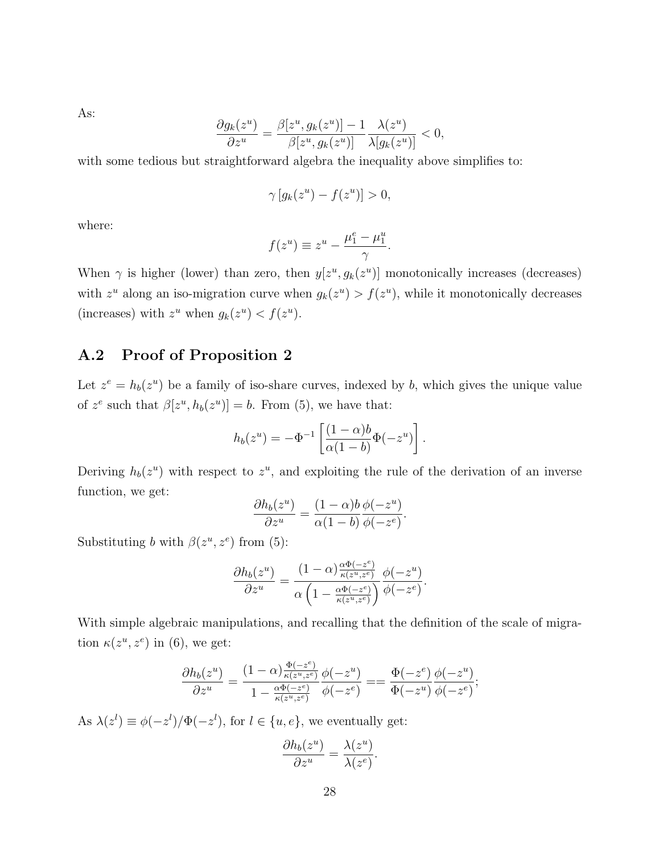As:

$$
\frac{\partial g_k(z^u)}{\partial z^u} = \frac{\beta[z^u, g_k(z^u)] - 1}{\beta[z^u, g_k(z^u)]} \frac{\lambda(z^u)}{\lambda[g_k(z^u)]} < 0,
$$

with some tedious but straightforward algebra the inequality above simplifies to:

$$
\gamma \left[ g_k(z^u) - f(z^u) \right] > 0,
$$

where:

$$
f(z^u) \equiv z^u - \frac{\mu_1^e - \mu_1^u}{\gamma}.
$$

When  $\gamma$  is higher (lower) than zero, then  $y[z^u, g_k(z^u)]$  monotonically increases (decreases) with  $z^u$  along an iso-migration curve when  $g_k(z^u) > f(z^u)$ , while it monotonically decreases (increases) with  $z^u$  when  $g_k(z^u) < f(z^u)$ .

### A.2 Proof of Proposition 2

Let  $z^e = h_b(z^u)$  be a family of iso-share curves, indexed by b, which gives the unique value of  $z^e$  such that  $\beta[z^u, h_b(z^u)] = b$ . From (5), we have that:

$$
h_b(z^u) = -\Phi^{-1}\left[\frac{(1-\alpha)b}{\alpha(1-b)}\Phi(-z^u)\right].
$$

Deriving  $h_b(z^u)$  with respect to  $z^u$ , and exploiting the rule of the derivation of an inverse function, we get:

$$
\frac{\partial h_b(z^u)}{\partial z^u} = \frac{(1-\alpha)b}{\alpha(1-b)} \frac{\phi(-z^u)}{\phi(-z^e)}.
$$

Substituting b with  $\beta(z^u, z^e)$  from (5):

$$
\frac{\partial h_b(z^u)}{\partial z^u} = \frac{(1-\alpha)\frac{\alpha\Phi(-z^e)}{\kappa(z^u,z^e)}}{\alpha\left(1-\frac{\alpha\Phi(-z^e)}{\kappa(z^u,z^e)}\right)} \frac{\phi(-z^u)}{\phi(-z^e)}.
$$

With simple algebraic manipulations, and recalling that the definition of the scale of migration  $\kappa(z^u, z^e)$  in (6), we get:

$$
\frac{\partial h_b(z^u)}{\partial z^u} = \frac{(1-\alpha)\frac{\Phi(-z^e)}{\kappa(z^u,z^e)}}{1-\frac{\alpha\Phi(-z^e)}{\kappa(z^u,z^e)}}\frac{\phi(-z^u)}{\phi(-z^e)} = \frac{\Phi(-z^e)}{\Phi(-z^u)}\frac{\phi(-z^u)}{\phi(-z^e)};
$$

As  $\lambda(z^l) \equiv \phi(-z^l)/\Phi(-z^l)$ , for  $l \in \{u, e\}$ , we eventually get:

$$
\frac{\partial h_b(z^u)}{\partial z^u} = \frac{\lambda(z^u)}{\lambda(z^e)}.
$$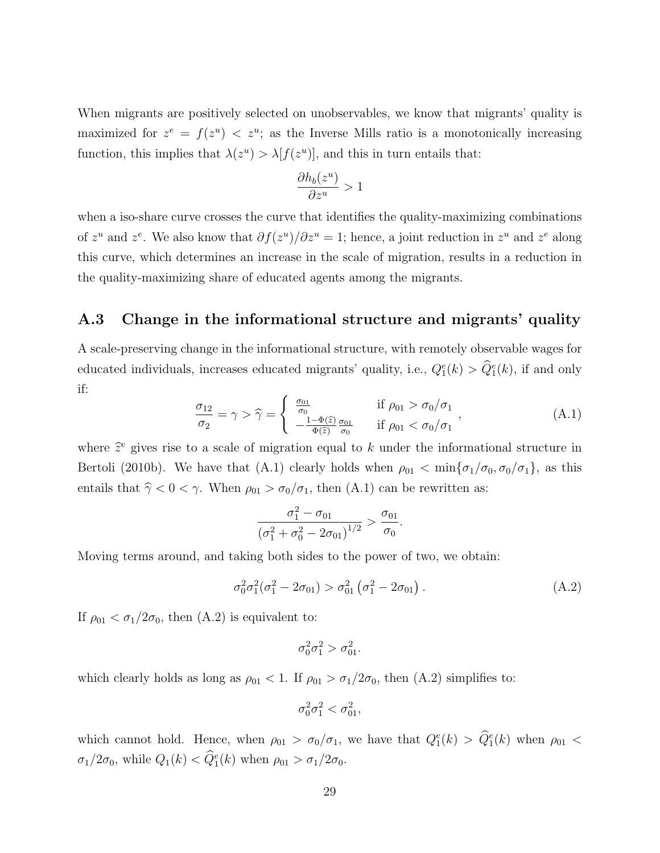When migrants are positively selected on unobservables, we know that migrants' quality is maximized for  $z^e = f(z^u) < z^u$ ; as the Inverse Mills ratio is a monotonically increasing function, this implies that  $\lambda(z^u) > \lambda[f(z^u)]$ , and this in turn entails that:

$$
\frac{\partial h_b(z^u)}{\partial z^u} > 1
$$

when a iso-share curve crosses the curve that identifies the quality-maximizing combinations of  $z^u$  and  $z^e$ . We also know that  $\partial f(z^u)/\partial z^u = 1$ ; hence, a joint reduction in  $z^u$  and  $z^e$  along this curve, which determines an increase in the scale of migration, results in a reduction in the quality-maximizing share of educated agents among the migrants.

#### A.3 Change in the informational structure and migrants' quality

A scale-preserving change in the informational structure, with remotely observable wages for educated individuals, increases educated migrants' quality, i.e.,  $Q_1^e(k) > \hat{Q}_1^e(k)$ , if and only if:

$$
\frac{\sigma_{12}}{\sigma_2} = \gamma > \hat{\gamma} = \begin{cases} \frac{\sigma_{01}}{\sigma_0} & \text{if } \rho_{01} > \sigma_0/\sigma_1 \\ -\frac{1-\Phi(\hat{z})}{\Phi(\hat{z})} \frac{\sigma_{01}}{\sigma_0} & \text{if } \rho_{01} < \sigma_0/\sigma_1 \end{cases},
$$
(A.1)

where  $\hat{z}^e$  gives rise to a scale of migration equal to k under the informational structure in Bertoli (2010b). We have that (A.1) clearly holds when  $\rho_{01} < \min{\{\sigma_1/\sigma_0, \sigma_0/\sigma_1\}}$ , as this entails that  $\hat{\gamma} < 0 < \gamma$ . When  $\rho_{01} > \sigma_0/\sigma_1$ , then (A.1) can be rewritten as:

$$
\frac{\sigma_1^2 - \sigma_{01}}{\left(\sigma_1^2 + \sigma_0^2 - 2\sigma_{01}\right)^{1/2}} > \frac{\sigma_{01}}{\sigma_0}.
$$

Moving terms around, and taking both sides to the power of two, we obtain:

$$
\sigma_0^2 \sigma_1^2 (\sigma_1^2 - 2\sigma_{01}) > \sigma_{01}^2 (\sigma_1^2 - 2\sigma_{01}). \tag{A.2}
$$

If  $\rho_{01} < \sigma_1/2\sigma_0$ , then  $(A.2)$  is equivalent to:

$$
\sigma_0^2 \sigma_1^2 > \sigma_{01}^2.
$$

which clearly holds as long as  $\rho_{01} < 1$ . If  $\rho_{01} > \sigma_1/2\sigma_0$ , then (A.2) simplifies to:

$$
\sigma_0^2 \sigma_1^2 < \sigma_{01}^2,
$$

which cannot hold. Hence, when  $\rho_{01} > \sigma_0/\sigma_1$ , we have that  $Q_1^e(k) > \hat{Q}_1^e(k)$  when  $\rho_{01} <$  $\sigma_1/2\sigma_0$ , while  $Q_1(k) < \hat{Q}_1^e(k)$  when  $\rho_{01} > \sigma_1/2\sigma_0$ .